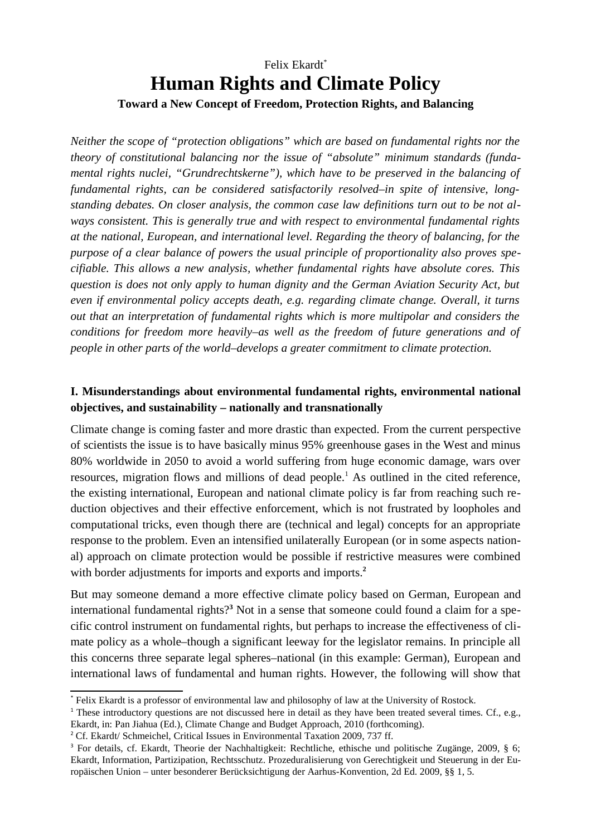# Felix Ekardt\* **Human Rights and Climate Policy Toward a New Concept of Freedom, Protection Rights, and Balancing**

*Neither the scope of "protection obligations" which are based on fundamental rights nor the theory of constitutional balancing nor the issue of "absolute" minimum standards (fundamental rights nuclei, "Grundrechtskerne"), which have to be preserved in the balancing of fundamental rights, can be considered satisfactorily resolved–in spite of intensive, longstanding debates. On closer analysis, the common case law definitions turn out to be not always consistent. This is generally true and with respect to environmental fundamental rights at the national, European, and international level. Regarding the theory of balancing, for the purpose of a clear balance of powers the usual principle of proportionality also proves specifiable. This allows a new analysis, whether fundamental rights have absolute cores. This question is does not only apply to human dignity and the German Aviation Security Act, but even if environmental policy accepts death, e.g. regarding climate change. Overall, it turns out that an interpretation of fundamental rights which is more multipolar and considers the conditions for freedom more heavily–as well as the freedom of future generations and of people in other parts of the world–develops a greater commitment to climate protection.*

# **I. Misunderstandings about environmental fundamental rights, environmental national objectives, and sustainability – nationally and transnationally**

Climate change is coming faster and more drastic than expected. From the current perspective of scientists the issue is to have basically minus 95% greenhouse gases in the West and minus 80% worldwide in 2050 to avoid a world suffering from huge economic damage, wars over resources, migration flows and millions of dead people.<sup>1</sup> As outlined in the cited reference, the existing international, European and national climate policy is far from reaching such reduction objectives and their effective enforcement, which is not frustrated by loopholes and computational tricks, even though there are (technical and legal) concepts for an appropriate response to the problem. Even an intensified unilaterally European (or in some aspects national) approach on climate protection would be possible if restrictive measures were combined with border adjustments for imports and exports and imports.**<sup>2</sup>**

But may someone demand a more effective climate policy based on German, European and international fundamental rights?**<sup>3</sup>** Not in a sense that someone could found a claim for a specific control instrument on fundamental rights, but perhaps to increase the effectiveness of climate policy as a whole–though a significant leeway for the legislator remains. In principle all this concerns three separate legal spheres–national (in this example: German), European and international laws of fundamental and human rights. However, the following will show that

<sup>\*</sup> Felix Ekardt is a professor of environmental law and philosophy of law at the University of Rostock.

<sup>&</sup>lt;sup>1</sup> These introductory questions are not discussed here in detail as they have been treated several times. Cf., e.g., Ekardt, in: Pan Jiahua (Ed.), Climate Change and Budget Approach, 2010 (forthcoming).

<sup>&</sup>lt;sup>2</sup> Cf. Ekardt/ Schmeichel, Critical Issues in Environmental Taxation 2009, 737 ff.

<sup>&</sup>lt;sup>3</sup> For details, cf. Ekardt, Theorie der Nachhaltigkeit: Rechtliche, ethische und politische Zugänge, 2009, § 6; Ekardt, Information, Partizipation, Rechtsschutz. Prozeduralisierung von Gerechtigkeit und Steuerung in der Europäischen Union – unter besonderer Berücksichtigung der Aarhus-Konvention, 2d Ed. 2009, §§ 1, 5.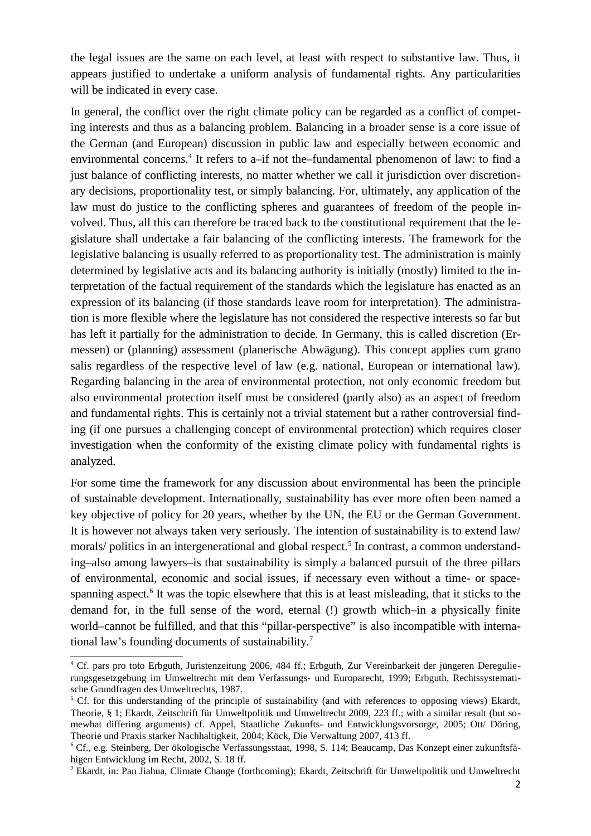the legal issues are the same on each level, at least with respect to substantive law. Thus, it appears justified to undertake a uniform analysis of fundamental rights. Any particularities will be indicated in every case.

In general, the conflict over the right climate policy can be regarded as a conflict of competing interests and thus as a balancing problem. Balancing in a broader sense is a core issue of the German (and European) discussion in public law and especially between economic and environmental concerns.<sup>4</sup> It refers to a–if not the–fundamental phenomenon of law: to find a just balance of conflicting interests, no matter whether we call it jurisdiction over discretionary decisions, proportionality test, or simply balancing. For, ultimately, any application of the law must do justice to the conflicting spheres and guarantees of freedom of the people involved. Thus, all this can therefore be traced back to the constitutional requirement that the legislature shall undertake a fair balancing of the conflicting interests. The framework for the legislative balancing is usually referred to as proportionality test. The administration is mainly determined by legislative acts and its balancing authority is initially (mostly) limited to the interpretation of the factual requirement of the standards which the legislature has enacted as an expression of its balancing (if those standards leave room for interpretation). The administration is more flexible where the legislature has not considered the respective interests so far but has left it partially for the administration to decide. In Germany, this is called discretion (Ermessen) or (planning) assessment (planerische Abwägung). This concept applies cum grano salis regardless of the respective level of law (e.g. national, European or international law). Regarding balancing in the area of environmental protection, not only economic freedom but also environmental protection itself must be considered (partly also) as an aspect of freedom and fundamental rights. This is certainly not a trivial statement but a rather controversial finding (if one pursues a challenging concept of environmental protection) which requires closer investigation when the conformity of the existing climate policy with fundamental rights is analyzed.

For some time the framework for any discussion about environmental has been the principle of sustainable development. Internationally, sustainability has ever more often been named a key objective of policy for 20 years, whether by the UN, the EU or the German Government. It is however not always taken very seriously. The intention of sustainability is to extend law/ morals/ politics in an intergenerational and global respect.<sup>5</sup> In contrast, a common understanding–also among lawyers–is that sustainability is simply a balanced pursuit of the three pillars of environmental, economic and social issues, if necessary even without a time- or spacespanning aspect.<sup>6</sup> It was the topic elsewhere that this is at least misleading, that it sticks to the demand for, in the full sense of the word, eternal (!) growth which–in a physically finite world–cannot be fulfilled, and that this "pillar-perspective" is also incompatible with international law's founding documents of sustainability.<sup>7</sup>

<sup>4</sup> Cf. pars pro toto Erbguth, Juristenzeitung 2006, 484 ff.; Erbguth, Zur Vereinbarkeit der jüngeren Deregulierungsgesetzgebung im Umweltrecht mit dem Verfassungs- und Europarecht, 1999; Erbguth, Rechtssystematische Grundfragen des Umweltrechts, 1987.

<sup>&</sup>lt;sup>5</sup> Cf. for this understanding of the principle of sustainability (and with references to opposing views) Ekardt, Theorie, § 1; Ekardt, Zeitschrift für Umweltpolitik und Umweltrecht 2009, 223 ff.; with a similar result (but somewhat differing arguments) cf. Appel, Staatliche Zukunfts- und Entwicklungsvorsorge, 2005; Ott/ Döring, Theorie und Praxis starker Nachhaltigkeit, 2004; Köck, Die Verwaltung 2007, 413 ff.

<sup>6</sup> Cf., e.g. Steinberg, Der ökologische Verfassungsstaat, 1998, S. 114; Beaucamp, Das Konzept einer zukunftsfähigen Entwicklung im Recht, 2002, S. 18 ff.

<sup>7</sup> Ekardt, in: Pan Jiahua, Climate Change (forthcoming); Ekardt, Zeitschrift für Umweltpolitik und Umweltrecht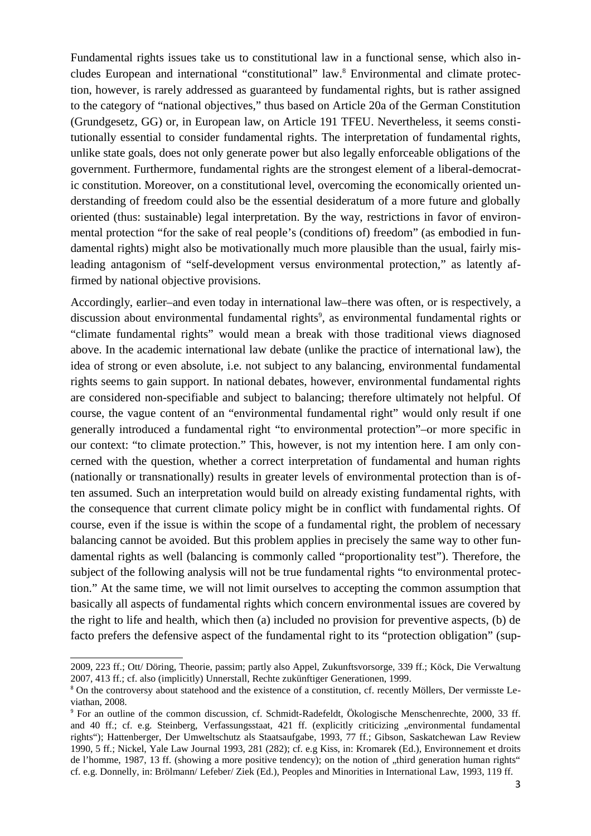Fundamental rights issues take us to constitutional law in a functional sense, which also includes European and international "constitutional" law.<sup>8</sup> Environmental and climate protection, however, is rarely addressed as guaranteed by fundamental rights, but is rather assigned to the category of "national objectives," thus based on Article 20a of the German Constitution (Grundgesetz, GG) or, in European law, on Article 191 TFEU. Nevertheless, it seems constitutionally essential to consider fundamental rights. The interpretation of fundamental rights, unlike state goals, does not only generate power but also legally enforceable obligations of the government. Furthermore, fundamental rights are the strongest element of a liberal-democratic constitution. Moreover, on a constitutional level, overcoming the economically oriented understanding of freedom could also be the essential desideratum of a more future and globally oriented (thus: sustainable) legal interpretation. By the way, restrictions in favor of environmental protection "for the sake of real people's (conditions of) freedom" (as embodied in fundamental rights) might also be motivationally much more plausible than the usual, fairly misleading antagonism of "self-development versus environmental protection," as latently affirmed by national objective provisions.

Accordingly, earlier–and even today in international law–there was often, or is respectively, a discussion about environmental fundamental rights<sup>9</sup>, as environmental fundamental rights or "climate fundamental rights" would mean a break with those traditional views diagnosed above. In the academic international law debate (unlike the practice of international law), the idea of strong or even absolute, i.e. not subject to any balancing, environmental fundamental rights seems to gain support. In national debates, however, environmental fundamental rights are considered non-specifiable and subject to balancing; therefore ultimately not helpful. Of course, the vague content of an "environmental fundamental right" would only result if one generally introduced a fundamental right "to environmental protection"–or more specific in our context: "to climate protection." This, however, is not my intention here. I am only concerned with the question, whether a correct interpretation of fundamental and human rights (nationally or transnationally) results in greater levels of environmental protection than is often assumed. Such an interpretation would build on already existing fundamental rights, with the consequence that current climate policy might be in conflict with fundamental rights. Of course, even if the issue is within the scope of a fundamental right, the problem of necessary balancing cannot be avoided. But this problem applies in precisely the same way to other fundamental rights as well (balancing is commonly called "proportionality test"). Therefore, the subject of the following analysis will not be true fundamental rights "to environmental protection." At the same time, we will not limit ourselves to accepting the common assumption that basically all aspects of fundamental rights which concern environmental issues are covered by the right to life and health, which then (a) included no provision for preventive aspects, (b) de facto prefers the defensive aspect of the fundamental right to its "protection obligation" (sup-

<sup>2009, 223</sup> ff.; Ott/ Döring, Theorie, passim; partly also Appel, Zukunftsvorsorge, 339 ff.; Köck, Die Verwaltung 2007, 413 ff.; cf. also (implicitly) Unnerstall, Rechte zukünftiger Generationen, 1999.

<sup>&</sup>lt;sup>8</sup> On the controversy about statehood and the existence of a constitution, cf. recently Möllers, Der vermisste Leviathan, 2008.

<sup>9</sup> For an outline of the common discussion, cf. Schmidt-Radefeldt, Ökologische Menschenrechte, 2000, 33 ff. and 40 ff.; cf. e.g. Steinberg, Verfassungsstaat, 421 ff. (explicitly criticizing "environmental fundamental rights"); Hattenberger, Der Umweltschutz als Staatsaufgabe, 1993, 77 ff.; Gibson, Saskatchewan Law Review 1990, 5 ff.; Nickel, Yale Law Journal 1993, 281 (282); cf. e.g Kiss, in: Kromarek (Ed.), Environnement et droits de l'homme, 1987, 13 ff. (showing a more positive tendency); on the notion of "third generation human rights" cf. e.g. Donnelly, in: Brölmann/ Lefeber/ Ziek (Ed.), Peoples and Minorities in International Law, 1993, 119 ff.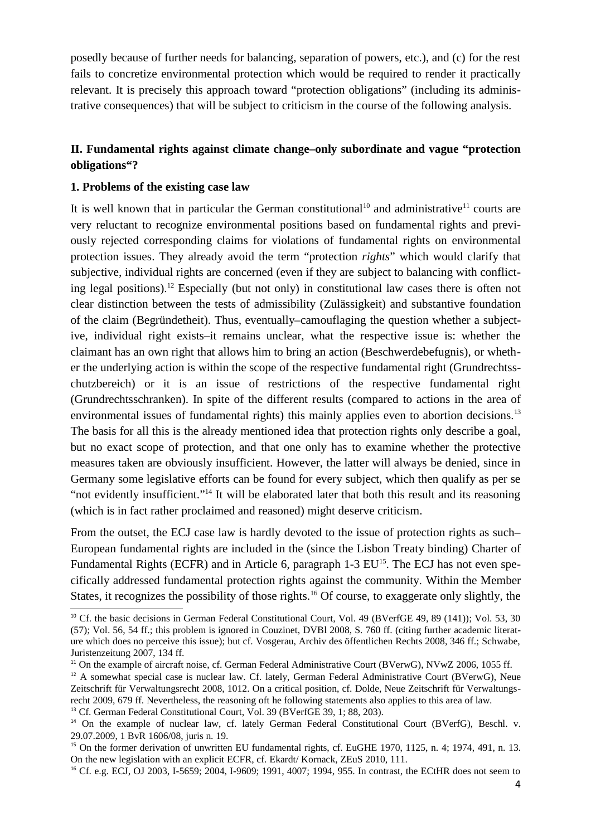posedly because of further needs for balancing, separation of powers, etc.), and (c) for the rest fails to concretize environmental protection which would be required to render it practically relevant. It is precisely this approach toward "protection obligations" (including its administrative consequences) that will be subject to criticism in the course of the following analysis.

## **II. Fundamental rights against climate change–only subordinate and vague "protection obligations"?**

#### **1. Problems of the existing case law**

It is well known that in particular the German constitutional<sup>10</sup> and administrative<sup>11</sup> courts are very reluctant to recognize environmental positions based on fundamental rights and previously rejected corresponding claims for violations of fundamental rights on environmental protection issues. They already avoid the term "protection *rights*" which would clarify that subjective, individual rights are concerned (even if they are subject to balancing with conflicting legal positions).<sup>12</sup> Especially (but not only) in constitutional law cases there is often not clear distinction between the tests of admissibility (Zulässigkeit) and substantive foundation of the claim (Begründetheit). Thus, eventually–camouflaging the question whether a subjective, individual right exists–it remains unclear, what the respective issue is: whether the claimant has an own right that allows him to bring an action (Beschwerdebefugnis), or whether the underlying action is within the scope of the respective fundamental right (Grundrechtsschutzbereich) or it is an issue of restrictions of the respective fundamental right (Grundrechtsschranken). In spite of the different results (compared to actions in the area of environmental issues of fundamental rights) this mainly applies even to abortion decisions.<sup>13</sup> The basis for all this is the already mentioned idea that protection rights only describe a goal, but no exact scope of protection, and that one only has to examine whether the protective measures taken are obviously insufficient. However, the latter will always be denied, since in Germany some legislative efforts can be found for every subject, which then qualify as per se "not evidently insufficient."<sup>14</sup> It will be elaborated later that both this result and its reasoning (which is in fact rather proclaimed and reasoned) might deserve criticism.

From the outset, the ECJ case law is hardly devoted to the issue of protection rights as such– European fundamental rights are included in the (since the Lisbon Treaty binding) Charter of Fundamental Rights (ECFR) and in Article 6, paragraph 1-3 EU<sup>15</sup>. The ECJ has not even specifically addressed fundamental protection rights against the community. Within the Member States, it recognizes the possibility of those rights.<sup>16</sup> Of course, to exaggerate only slightly, the

<sup>&</sup>lt;sup>10</sup> Cf. the basic decisions in German Federal Constitutional Court, Vol. 49 (BVerfGE 49, 89 (141)); Vol. 53, 30 (57); Vol. 56, 54 ff.; this problem is ignored in Couzinet, DVBl 2008, S. 760 ff. (citing further academic literature which does no perceive this issue); but cf. Vosgerau, Archiv des öffentlichen Rechts 2008, 346 ff.; Schwabe, Juristenzeitung 2007, 134 ff.

<sup>&</sup>lt;sup>11</sup> On the example of aircraft noise, cf. German Federal Administrative Court (BVerwG), NVwZ 2006, 1055 ff.

<sup>&</sup>lt;sup>12</sup> A somewhat special case is nuclear law. Cf. lately, German Federal Administrative Court (BVerwG), Neue Zeitschrift für Verwaltungsrecht 2008, 1012. On a critical position, cf. Dolde, Neue Zeitschrift für Verwaltungsrecht 2009, 679 ff. Nevertheless, the reasoning oft he following statements also applies to this area of law.

<sup>13</sup> Cf. German Federal Constitutional Court, Vol. 39 (BVerfGE 39, 1; 88, 203).

<sup>&</sup>lt;sup>14</sup> On the example of nuclear law, cf. lately German Federal Constitutional Court (BVerfG), Beschl. v. 29.07.2009, 1 BvR 1606/08, juris n. 19.

<sup>&</sup>lt;sup>15</sup> On the former derivation of unwritten EU fundamental rights, cf. EuGHE 1970, 1125, n. 4; 1974, 491, n. 13. On the new legislation with an explicit ECFR, cf. Ekardt/ Kornack, ZEuS 2010, 111.

<sup>&</sup>lt;sup>16</sup> Cf. e.g. ECJ, OJ 2003, I-5659; 2004, I-9609; 1991, 4007; 1994, 955. In contrast, the ECtHR does not seem to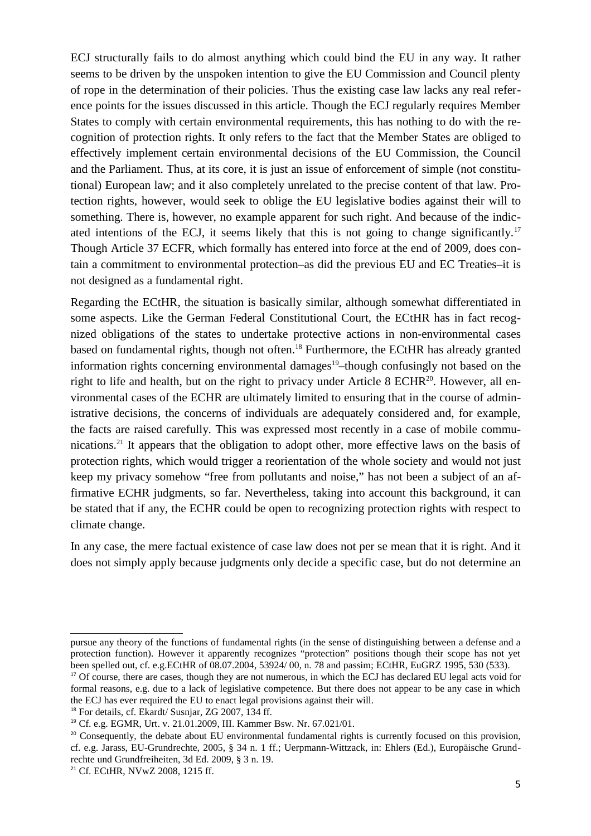ECJ structurally fails to do almost anything which could bind the EU in any way. It rather seems to be driven by the unspoken intention to give the EU Commission and Council plenty of rope in the determination of their policies. Thus the existing case law lacks any real reference points for the issues discussed in this article. Though the ECJ regularly requires Member States to comply with certain environmental requirements, this has nothing to do with the recognition of protection rights. It only refers to the fact that the Member States are obliged to effectively implement certain environmental decisions of the EU Commission, the Council and the Parliament. Thus, at its core, it is just an issue of enforcement of simple (not constitutional) European law; and it also completely unrelated to the precise content of that law. Protection rights, however, would seek to oblige the EU legislative bodies against their will to something. There is, however, no example apparent for such right. And because of the indicated intentions of the ECJ, it seems likely that this is not going to change significantly.<sup>17</sup> Though Article 37 ECFR, which formally has entered into force at the end of 2009, does contain a commitment to environmental protection–as did the previous EU and EC Treaties–it is not designed as a fundamental right.

Regarding the ECtHR, the situation is basically similar, although somewhat differentiated in some aspects. Like the German Federal Constitutional Court, the ECtHR has in fact recognized obligations of the states to undertake protective actions in non-environmental cases based on fundamental rights, though not often.<sup>18</sup> Furthermore, the ECtHR has already granted information rights concerning environmental damages<sup>19</sup>–though confusingly not based on the right to life and health, but on the right to privacy under Article 8 ECHR<sup>20</sup>. However, all environmental cases of the ECHR are ultimately limited to ensuring that in the course of administrative decisions, the concerns of individuals are adequately considered and, for example, the facts are raised carefully. This was expressed most recently in a case of mobile communications.<sup>21</sup> It appears that the obligation to adopt other, more effective laws on the basis of protection rights, which would trigger a reorientation of the whole society and would not just keep my privacy somehow "free from pollutants and noise," has not been a subject of an affirmative ECHR judgments, so far. Nevertheless, taking into account this background, it can be stated that if any, the ECHR could be open to recognizing protection rights with respect to climate change.

In any case, the mere factual existence of case law does not per se mean that it is right. And it does not simply apply because judgments only decide a specific case, but do not determine an

pursue any theory of the functions of fundamental rights (in the sense of distinguishing between a defense and a protection function). However it apparently recognizes "protection" positions though their scope has not yet been spelled out, cf. e.g.ECtHR of 08.07.2004, 53924/ 00, n. 78 and passim; ECtHR, EuGRZ 1995, 530 (533).

<sup>&</sup>lt;sup>17</sup> Of course, there are cases, though they are not numerous, in which the ECJ has declared EU legal acts void for formal reasons, e.g. due to a lack of legislative competence. But there does not appear to be any case in which the ECJ has ever required the EU to enact legal provisions against their will.

<sup>18</sup> For details, cf. Ekardt/ Susnjar, ZG 2007, 134 ff.

<sup>19</sup> Cf. e.g. EGMR, Urt. v. 21.01.2009, III. Kammer Bsw. Nr. 67.021/01.

<sup>&</sup>lt;sup>20</sup> Consequently, the debate about EU environmental fundamental rights is currently focused on this provision, cf. e.g. Jarass, EU-Grundrechte, 2005, § 34 n. 1 ff.; Uerpmann-Wittzack, in: Ehlers (Ed.), Europäische Grundrechte und Grundfreiheiten, 3d Ed. 2009, § 3 n. 19.

<sup>&</sup>lt;sup>21</sup> Cf. ECtHR, NVwZ 2008, 1215 ff.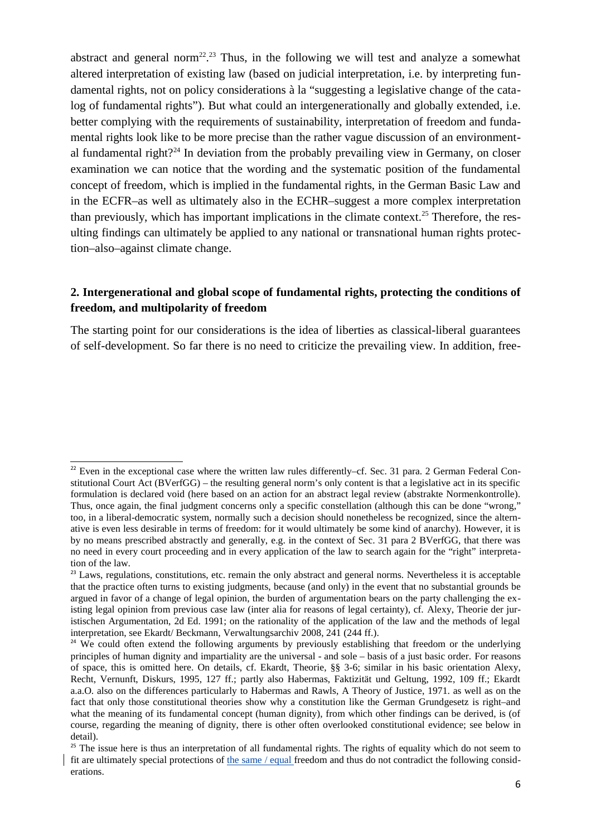abstract and general norm<sup>22</sup>.<sup>23</sup> Thus, in the following we will test and analyze a somewhat altered interpretation of existing law (based on judicial interpretation, i.e. by interpreting fundamental rights, not on policy considerations à la "suggesting a legislative change of the catalog of fundamental rights"). But what could an intergenerationally and globally extended, i.e. better complying with the requirements of sustainability, interpretation of freedom and fundamental rights look like to be more precise than the rather vague discussion of an environmental fundamental right?<sup>24</sup> In deviation from the probably prevailing view in Germany, on closer examination we can notice that the wording and the systematic position of the fundamental concept of freedom, which is implied in the fundamental rights, in the German Basic Law and in the ECFR–as well as ultimately also in the ECHR–suggest a more complex interpretation than previously, which has important implications in the climate context.<sup>25</sup> Therefore, the resulting findings can ultimately be applied to any national or transnational human rights protection–also–against climate change.

### **2. Intergenerational and global scope of fundamental rights, protecting the conditions of freedom, and multipolarity of freedom**

The starting point for our considerations is the idea of liberties as classical-liberal guarantees of self-development. So far there is no need to criticize the prevailing view. In addition, free-

 $22$  Even in the exceptional case where the written law rules differently–cf. Sec. 31 para. 2 German Federal Constitutional Court Act (BVerfGG) – the resulting general norm's only content is that a legislative act in its specific formulation is declared void (here based on an action for an abstract legal review (abstrakte Normenkontrolle). Thus, once again, the final judgment concerns only a specific constellation (although this can be done "wrong," too, in a liberal-democratic system, normally such a decision should nonetheless be recognized, since the alternative is even less desirable in terms of freedom: for it would ultimately be some kind of anarchy). However, it is by no means prescribed abstractly and generally, e.g. in the context of Sec. 31 para 2 BVerfGG, that there was no need in every court proceeding and in every application of the law to search again for the "right" interpretation of the law.

<sup>&</sup>lt;sup>23</sup> Laws, regulations, constitutions, etc. remain the only abstract and general norms. Nevertheless it is acceptable that the practice often turns to existing judgments, because (and only) in the event that no substantial grounds be argued in favor of a change of legal opinion, the burden of argumentation bears on the party challenging the existing legal opinion from previous case law (inter alia for reasons of legal certainty), cf. Alexy, Theorie der juristischen Argumentation, 2d Ed. 1991; on the rationality of the application of the law and the methods of legal interpretation, see Ekardt/ Beckmann, Verwaltungsarchiv 2008, 241 (244 ff.).

<sup>&</sup>lt;sup>24</sup> We could often extend the following arguments by previously establishing that freedom or the underlying principles of human dignity and impartiality are the universal - and sole – basis of a just basic order. For reasons of space, this is omitted here. On details, cf. Ekardt, Theorie, §§ 3-6; similar in his basic orientation Alexy, Recht, Vernunft, Diskurs, 1995, 127 ff.; partly also Habermas, Faktizität und Geltung, 1992, 109 ff.; Ekardt a.a.O. also on the differences particularly to Habermas and Rawls, A Theory of Justice, 1971. as well as on the fact that only those constitutional theories show why a constitution like the German Grundgesetz is right–and what the meaning of its fundamental concept (human dignity), from which other findings can be derived, is (of course, regarding the meaning of dignity, there is other often overlooked constitutional evidence; see below in detail).

 $25$  The issue here is thus an interpretation of all fundamental rights. The rights of equality which do not seem to fit are ultimately special protections of the same / equal freedom and thus do not contradict the following considerations.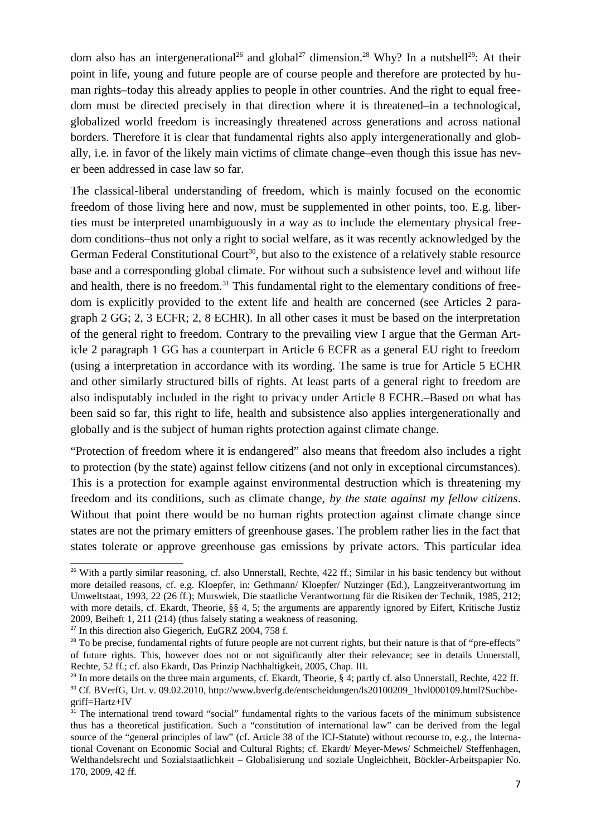dom also has an intergenerational<sup>26</sup> and global<sup>27</sup> dimension.<sup>28</sup> Why? In a nutshell<sup>29</sup>: At their point in life, young and future people are of course people and therefore are protected by human rights–today this already applies to people in other countries. And the right to equal freedom must be directed precisely in that direction where it is threatened–in a technological, globalized world freedom is increasingly threatened across generations and across national borders. Therefore it is clear that fundamental rights also apply intergenerationally and globally, i.e. in favor of the likely main victims of climate change–even though this issue has never been addressed in case law so far.

The classical-liberal understanding of freedom, which is mainly focused on the economic freedom of those living here and now, must be supplemented in other points, too. E.g. liberties must be interpreted unambiguously in a way as to include the elementary physical freedom conditions–thus not only a right to social welfare, as it was recently acknowledged by the German Federal Constitutional Court<sup>30</sup>, but also to the existence of a relatively stable resource base and a corresponding global climate. For without such a subsistence level and without life and health, there is no freedom.<sup>31</sup> This fundamental right to the elementary conditions of freedom is explicitly provided to the extent life and health are concerned (see Articles 2 paragraph 2 GG; 2, 3 ECFR; 2, 8 ECHR). In all other cases it must be based on the interpretation of the general right to freedom. Contrary to the prevailing view I argue that the German Article 2 paragraph 1 GG has a counterpart in Article 6 ECFR as a general EU right to freedom (using a interpretation in accordance with its wording. The same is true for Article 5 ECHR and other similarly structured bills of rights. At least parts of a general right to freedom are also indisputably included in the right to privacy under Article 8 ECHR.–Based on what has been said so far, this right to life, health and subsistence also applies intergenerationally and globally and is the subject of human rights protection against climate change.

"Protection of freedom where it is endangered" also means that freedom also includes a right to protection (by the state) against fellow citizens (and not only in exceptional circumstances). This is a protection for example against environmental destruction which is threatening my freedom and its conditions, such as climate change, *by the state against my fellow citizens*. Without that point there would be no human rights protection against climate change since states are not the primary emitters of greenhouse gases. The problem rather lies in the fact that states tolerate or approve greenhouse gas emissions by private actors. This particular idea

 $26$  With a partly similar reasoning, cf. also Unnerstall, Rechte, 422 ff.; Similar in his basic tendency but without more detailed reasons, cf. e.g. Kloepfer, in: Gethmann/ Kloepfer/ Nutzinger (Ed.), Langzeitverantwortung im Umweltstaat, 1993, 22 (26 ff.); Murswiek, Die staatliche Verantwortung für die Risiken der Technik, 1985, 212; with more details, cf. Ekardt, Theorie, §§ 4, 5; the arguments are apparently ignored by Eifert, Kritische Justiz 2009, Beiheft 1, 211 (214) (thus falsely stating a weakness of reasoning.

<sup>&</sup>lt;sup>27</sup> In this direction also Giegerich, EuGRZ 2004, 758 f.

<sup>&</sup>lt;sup>28</sup> To be precise, fundamental rights of future people are not current rights, but their nature is that of "pre-effects" of future rights. This, however does not or not significantly alter their relevance; see in details Unnerstall, Rechte, 52 ff.; cf. also Ekardt, Das Prinzip Nachhaltigkeit, 2005, Chap. III.

<sup>&</sup>lt;sup>29</sup> In more details on the three main arguments, cf. Ekardt, Theorie, § 4; partly cf. also Unnerstall, Rechte, 422 ff. <sup>30</sup> Cf. BVerfG, Urt. v. 09.02.2010, http://www.bverfg.de/entscheidungen/ls20100209\_1bvl000109.html?Suchbegriff=Hartz+IV

 $31$  The international trend toward "social" fundamental rights to the various facets of the minimum subsistence thus has a theoretical justification. Such a "constitution of international law" can be derived from the legal source of the "general principles of law" (cf. Article 38 of the ICJ-Statute) without recourse to, e.g., the International Covenant on Economic Social and Cultural Rights; cf. Ekardt/ Meyer-Mews/ Schmeichel/ Steffenhagen, Welthandelsrecht und Sozialstaatlichkeit – Globalisierung und soziale Ungleichheit, Böckler-Arbeitspapier No. 170, 2009, 42 ff.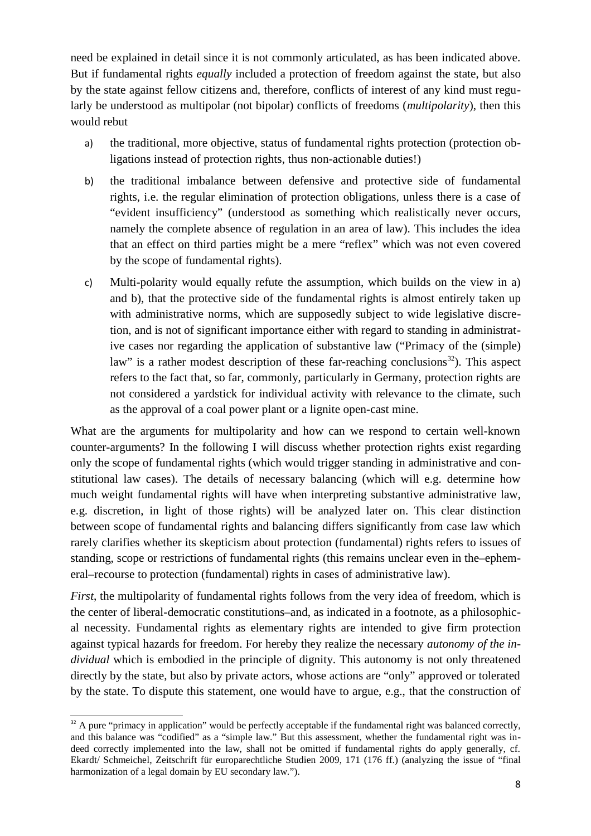need be explained in detail since it is not commonly articulated, as has been indicated above. But if fundamental rights *equally* included a protection of freedom against the state, but also by the state against fellow citizens and, therefore, conflicts of interest of any kind must regularly be understood as multipolar (not bipolar) conflicts of freedoms (*multipolarity*), then this would rebut

- a) the traditional, more objective, status of fundamental rights protection (protection obligations instead of protection rights, thus non-actionable duties!)
- b) the traditional imbalance between defensive and protective side of fundamental rights, i.e. the regular elimination of protection obligations, unless there is a case of "evident insufficiency" (understood as something which realistically never occurs, namely the complete absence of regulation in an area of law). This includes the idea that an effect on third parties might be a mere "reflex" which was not even covered by the scope of fundamental rights).
- c) Multi-polarity would equally refute the assumption, which builds on the view in a) and b), that the protective side of the fundamental rights is almost entirely taken up with administrative norms, which are supposedly subject to wide legislative discretion, and is not of significant importance either with regard to standing in administrative cases nor regarding the application of substantive law ("Primacy of the (simple) law" is a rather modest description of these far-reaching conclusions<sup>32</sup>). This aspect refers to the fact that, so far, commonly, particularly in Germany, protection rights are not considered a yardstick for individual activity with relevance to the climate, such as the approval of a coal power plant or a lignite open-cast mine.

What are the arguments for multipolarity and how can we respond to certain well-known counter-arguments? In the following I will discuss whether protection rights exist regarding only the scope of fundamental rights (which would trigger standing in administrative and constitutional law cases). The details of necessary balancing (which will e.g. determine how much weight fundamental rights will have when interpreting substantive administrative law, e.g. discretion, in light of those rights) will be analyzed later on. This clear distinction between scope of fundamental rights and balancing differs significantly from case law which rarely clarifies whether its skepticism about protection (fundamental) rights refers to issues of standing, scope or restrictions of fundamental rights (this remains unclear even in the–ephemeral–recourse to protection (fundamental) rights in cases of administrative law).

*First*, the multipolarity of fundamental rights follows from the very idea of freedom, which is the center of liberal-democratic constitutions–and, as indicated in a footnote, as a philosophical necessity. Fundamental rights as elementary rights are intended to give firm protection against typical hazards for freedom. For hereby they realize the necessary *autonomy of the individual* which is embodied in the principle of dignity. This autonomy is not only threatened directly by the state, but also by private actors, whose actions are "only" approved or tolerated by the state. To dispute this statement, one would have to argue, e.g., that the construction of

<sup>&</sup>lt;sup>32</sup> A pure "primacy in application" would be perfectly acceptable if the fundamental right was balanced correctly, and this balance was "codified" as a "simple law." But this assessment, whether the fundamental right was indeed correctly implemented into the law, shall not be omitted if fundamental rights do apply generally, cf. Ekardt/ Schmeichel, Zeitschrift für europarechtliche Studien 2009, 171 (176 ff.) (analyzing the issue of "final harmonization of a legal domain by EU secondary law.").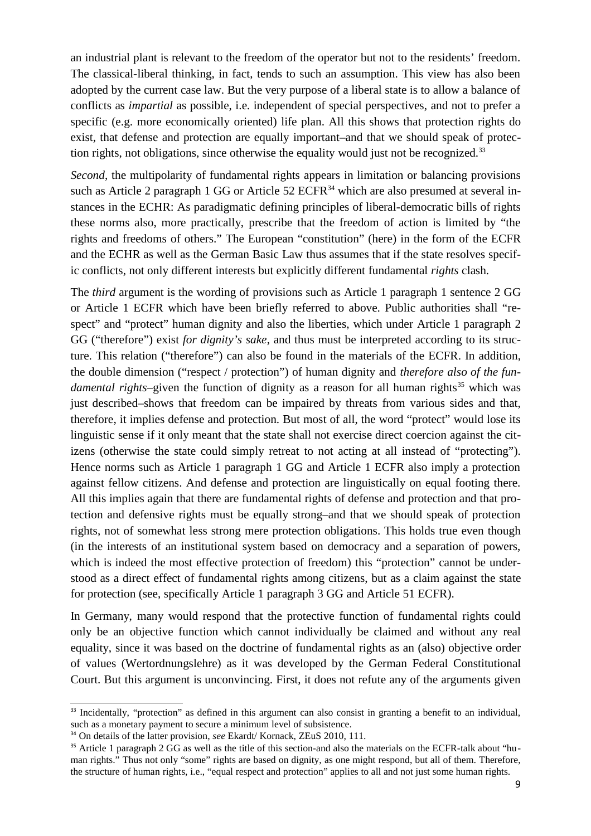an industrial plant is relevant to the freedom of the operator but not to the residents' freedom. The classical-liberal thinking, in fact, tends to such an assumption. This view has also been adopted by the current case law. But the very purpose of a liberal state is to allow a balance of conflicts as *impartial* as possible, i.e. independent of special perspectives, and not to prefer a specific (e.g. more economically oriented) life plan. All this shows that protection rights do exist, that defense and protection are equally important–and that we should speak of protection rights, not obligations, since otherwise the equality would just not be recognized.<sup>33</sup>

*Second*, the multipolarity of fundamental rights appears in limitation or balancing provisions such as Article 2 paragraph 1 GG or Article  $52$  ECFR<sup>34</sup> which are also presumed at several instances in the ECHR: As paradigmatic defining principles of liberal-democratic bills of rights these norms also, more practically, prescribe that the freedom of action is limited by "the rights and freedoms of others." The European "constitution" (here) in the form of the ECFR and the ECHR as well as the German Basic Law thus assumes that if the state resolves specific conflicts, not only different interests but explicitly different fundamental *rights* clash.

The *third* argument is the wording of provisions such as Article 1 paragraph 1 sentence 2 GG or Article 1 ECFR which have been briefly referred to above. Public authorities shall "respect" and "protect" human dignity and also the liberties, which under Article 1 paragraph 2 GG ("therefore") exist *for dignity's sake*, and thus must be interpreted according to its structure. This relation ("therefore") can also be found in the materials of the ECFR. In addition, the double dimension ("respect / protection") of human dignity and *therefore also of the fundamental rights*–given the function of dignity as a reason for all human rights<sup>35</sup> which was just described–shows that freedom can be impaired by threats from various sides and that, therefore, it implies defense and protection. But most of all, the word "protect" would lose its linguistic sense if it only meant that the state shall not exercise direct coercion against the citizens (otherwise the state could simply retreat to not acting at all instead of "protecting"). Hence norms such as Article 1 paragraph 1 GG and Article 1 ECFR also imply a protection against fellow citizens. And defense and protection are linguistically on equal footing there. All this implies again that there are fundamental rights of defense and protection and that protection and defensive rights must be equally strong–and that we should speak of protection rights, not of somewhat less strong mere protection obligations. This holds true even though (in the interests of an institutional system based on democracy and a separation of powers, which is indeed the most effective protection of freedom) this "protection" cannot be understood as a direct effect of fundamental rights among citizens, but as a claim against the state for protection (see, specifically Article 1 paragraph 3 GG and Article 51 ECFR).

In Germany, many would respond that the protective function of fundamental rights could only be an objective function which cannot individually be claimed and without any real equality, since it was based on the doctrine of fundamental rights as an (also) objective order of values (Wertordnungslehre) as it was developed by the German Federal Constitutional Court. But this argument is unconvincing. First, it does not refute any of the arguments given

<sup>&</sup>lt;sup>33</sup> Incidentally, "protection" as defined in this argument can also consist in granting a benefit to an individual, such as a monetary payment to secure a minimum level of subsistence.

<sup>&</sup>lt;sup>34</sup> On details of the latter provision, *see* Ekardt/ Kornack, ZEuS 2010, 111.

<sup>&</sup>lt;sup>35</sup> Article 1 paragraph 2 GG as well as the title of this section-and also the materials on the ECFR-talk about "human rights." Thus not only "some" rights are based on dignity, as one might respond, but all of them. Therefore, the structure of human rights, i.e., "equal respect and protection" applies to all and not just some human rights.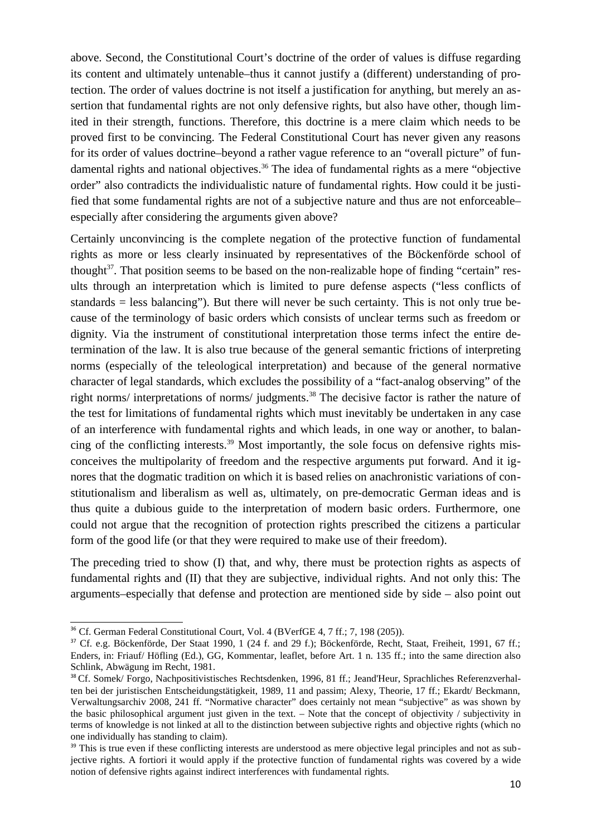above. Second, the Constitutional Court's doctrine of the order of values is diffuse regarding its content and ultimately untenable–thus it cannot justify a (different) understanding of protection. The order of values doctrine is not itself a justification for anything, but merely an assertion that fundamental rights are not only defensive rights, but also have other, though limited in their strength, functions. Therefore, this doctrine is a mere claim which needs to be proved first to be convincing. The Federal Constitutional Court has never given any reasons for its order of values doctrine–beyond a rather vague reference to an "overall picture" of fundamental rights and national objectives.<sup>36</sup> The idea of fundamental rights as a mere "objective" order" also contradicts the individualistic nature of fundamental rights. How could it be justified that some fundamental rights are not of a subjective nature and thus are not enforceable– especially after considering the arguments given above?

Certainly unconvincing is the complete negation of the protective function of fundamental rights as more or less clearly insinuated by representatives of the Böckenförde school of thought<sup>37</sup>. That position seems to be based on the non-realizable hope of finding "certain" results through an interpretation which is limited to pure defense aspects ("less conflicts of standards = less balancing"). But there will never be such certainty. This is not only true because of the terminology of basic orders which consists of unclear terms such as freedom or dignity. Via the instrument of constitutional interpretation those terms infect the entire determination of the law. It is also true because of the general semantic frictions of interpreting norms (especially of the teleological interpretation) and because of the general normative character of legal standards, which excludes the possibility of a "fact-analog observing" of the right norms/ interpretations of norms/ judgments.<sup>38</sup> The decisive factor is rather the nature of the test for limitations of fundamental rights which must inevitably be undertaken in any case of an interference with fundamental rights and which leads, in one way or another, to balancing of the conflicting interests.39 Most importantly, the sole focus on defensive rights misconceives the multipolarity of freedom and the respective arguments put forward. And it ignores that the dogmatic tradition on which it is based relies on anachronistic variations of constitutionalism and liberalism as well as, ultimately, on pre-democratic German ideas and is thus quite a dubious guide to the interpretation of modern basic orders. Furthermore, one could not argue that the recognition of protection rights prescribed the citizens a particular form of the good life (or that they were required to make use of their freedom).

The preceding tried to show (I) that, and why, there must be protection rights as aspects of fundamental rights and (II) that they are subjective, individual rights. And not only this: The arguments–especially that defense and protection are mentioned side by side – also point out

<sup>36</sup> Cf. German Federal Constitutional Court, Vol. 4 (BVerfGE 4, 7 ff.; 7, 198 (205)).

<sup>&</sup>lt;sup>37</sup> Cf. e.g. Böckenförde, Der Staat 1990, 1 (24 f. and 29 f.); Böckenförde, Recht, Staat, Freiheit, 1991, 67 ff.; Enders, in: Friauf/ Höfling (Ed.), GG, Kommentar, leaflet, before Art. 1 n. 135 ff.; into the same direction also Schlink, Abwägung im Recht, 1981.

<sup>38</sup> Cf. Somek/ Forgo, Nachpositivistisches Rechtsdenken, 1996, 81 ff.; Jeand'Heur, Sprachliches Referenzverhalten bei der juristischen Entscheidungstätigkeit, 1989, 11 and passim; Alexy, Theorie, 17 ff.; Ekardt/ Beckmann, Verwaltungsarchiv 2008, 241 ff. "Normative character" does certainly not mean "subjective" as was shown by the basic philosophical argument just given in the text. – Note that the concept of objectivity / subjectivity in terms of knowledge is not linked at all to the distinction between subjective rights and objective rights (which no one individually has standing to claim).

<sup>&</sup>lt;sup>39</sup> This is true even if these conflicting interests are understood as mere objective legal principles and not as subjective rights. A fortiori it would apply if the protective function of fundamental rights was covered by a wide notion of defensive rights against indirect interferences with fundamental rights.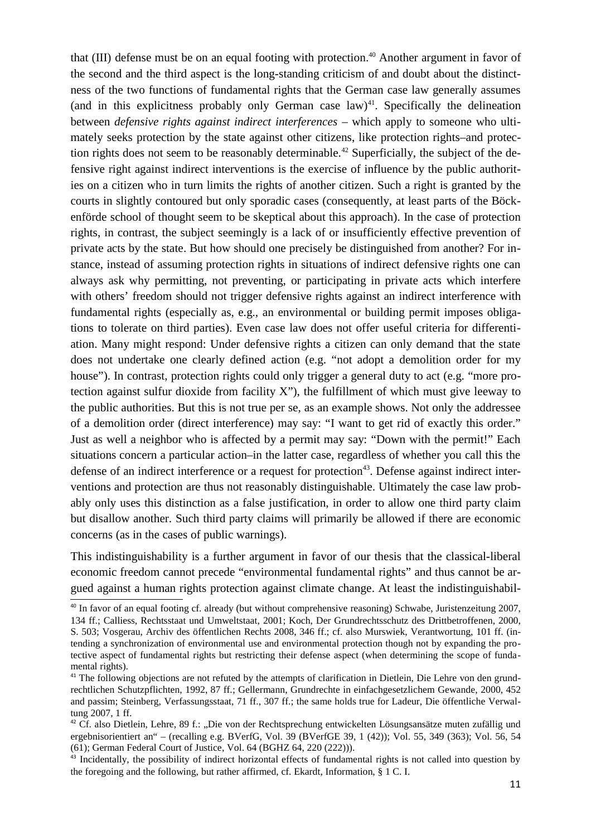that (III) defense must be on an equal footing with protection.<sup>40</sup> Another argument in favor of the second and the third aspect is the long-standing criticism of and doubt about the distinctness of the two functions of fundamental rights that the German case law generally assumes (and in this explicitness probably only German case law)<sup>41</sup>. Specifically the delineation between *defensive rights against indirect interferences* – which apply to someone who ultimately seeks protection by the state against other citizens, like protection rights–and protection rights does not seem to be reasonably determinable.<sup>42</sup> Superficially, the subject of the defensive right against indirect interventions is the exercise of influence by the public authorities on a citizen who in turn limits the rights of another citizen. Such a right is granted by the courts in slightly contoured but only sporadic cases (consequently, at least parts of the Böckenförde school of thought seem to be skeptical about this approach). In the case of protection rights, in contrast, the subject seemingly is a lack of or insufficiently effective prevention of private acts by the state. But how should one precisely be distinguished from another? For instance, instead of assuming protection rights in situations of indirect defensive rights one can always ask why permitting, not preventing, or participating in private acts which interfere with others' freedom should not trigger defensive rights against an indirect interference with fundamental rights (especially as, e.g., an environmental or building permit imposes obligations to tolerate on third parties). Even case law does not offer useful criteria for differentiation. Many might respond: Under defensive rights a citizen can only demand that the state does not undertake one clearly defined action (e.g. "not adopt a demolition order for my house"). In contrast, protection rights could only trigger a general duty to act (e.g. "more protection against sulfur dioxide from facility  $X$ "), the fulfillment of which must give leeway to the public authorities. But this is not true per se, as an example shows. Not only the addressee of a demolition order (direct interference) may say: "I want to get rid of exactly this order." Just as well a neighbor who is affected by a permit may say: "Down with the permit!" Each situations concern a particular action–in the latter case, regardless of whether you call this the defense of an indirect interference or a request for protection<sup>43</sup>. Defense against indirect interventions and protection are thus not reasonably distinguishable. Ultimately the case law probably only uses this distinction as a false justification, in order to allow one third party claim but disallow another. Such third party claims will primarily be allowed if there are economic concerns (as in the cases of public warnings).

This indistinguishability is a further argument in favor of our thesis that the classical-liberal economic freedom cannot precede "environmental fundamental rights" and thus cannot be argued against a human rights protection against climate change. At least the indistinguishabil-

<sup>&</sup>lt;sup>40</sup> In favor of an equal footing cf. already (but without comprehensive reasoning) Schwabe, Juristenzeitung 2007, 134 ff.; Calliess, Rechtsstaat und Umweltstaat, 2001; Koch, Der Grundrechtsschutz des Drittbetroffenen, 2000, S. 503; Vosgerau, Archiv des öffentlichen Rechts 2008, 346 ff.; cf. also Murswiek, Verantwortung, 101 ff. (intending a synchronization of environmental use and environmental protection though not by expanding the protective aspect of fundamental rights but restricting their defense aspect (when determining the scope of fundamental rights).

<sup>&</sup>lt;sup>41</sup> The following objections are not refuted by the attempts of clarification in Dietlein, Die Lehre von den grundrechtlichen Schutzpflichten, 1992, 87 ff.; Gellermann, Grundrechte in einfachgesetzlichem Gewande, 2000, 452 and passim; Steinberg, Verfassungsstaat, 71 ff., 307 ff.; the same holds true for Ladeur, Die öffentliche Verwaltung 2007, 1 ff.

<sup>&</sup>lt;sup>42</sup> Cf. also Dietlein, Lehre, 89 f.: "Die von der Rechtsprechung entwickelten Lösungsansätze muten zufällig und ergebnisorientiert an" – (recalling e.g. BVerfG, Vol. 39 (BVerfGE 39, 1 (42)); Vol. 55, 349 (363); Vol. 56, 54 (61); German Federal Court of Justice, Vol. 64 (BGHZ 64, 220 (222))).

 $43$  Incidentally, the possibility of indirect horizontal effects of fundamental rights is not called into question by the foregoing and the following, but rather affirmed, cf. Ekardt, Information, § 1 C. I.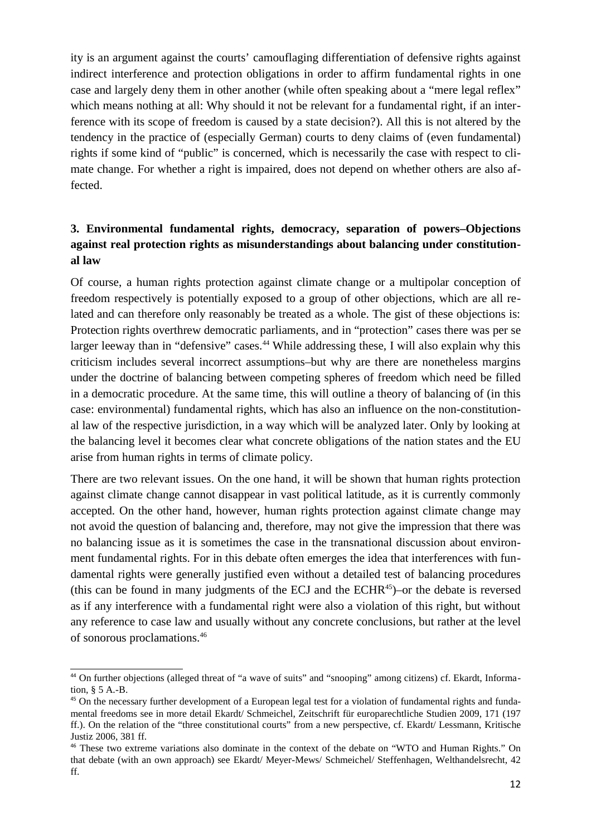ity is an argument against the courts' camouflaging differentiation of defensive rights against indirect interference and protection obligations in order to affirm fundamental rights in one case and largely deny them in other another (while often speaking about a "mere legal reflex" which means nothing at all: Why should it not be relevant for a fundamental right, if an interference with its scope of freedom is caused by a state decision?). All this is not altered by the tendency in the practice of (especially German) courts to deny claims of (even fundamental) rights if some kind of "public" is concerned, which is necessarily the case with respect to climate change. For whether a right is impaired, does not depend on whether others are also affected.

# **3. Environmental fundamental rights, democracy, separation of powers–Objections against real protection rights as misunderstandings about balancing under constitutional law**

Of course, a human rights protection against climate change or a multipolar conception of freedom respectively is potentially exposed to a group of other objections, which are all related and can therefore only reasonably be treated as a whole. The gist of these objections is: Protection rights overthrew democratic parliaments, and in "protection" cases there was per se larger leeway than in "defensive" cases.<sup>44</sup> While addressing these, I will also explain why this criticism includes several incorrect assumptions–but why are there are nonetheless margins under the doctrine of balancing between competing spheres of freedom which need be filled in a democratic procedure. At the same time, this will outline a theory of balancing of (in this case: environmental) fundamental rights, which has also an influence on the non-constitutional law of the respective jurisdiction, in a way which will be analyzed later. Only by looking at the balancing level it becomes clear what concrete obligations of the nation states and the EU arise from human rights in terms of climate policy.

There are two relevant issues. On the one hand, it will be shown that human rights protection against climate change cannot disappear in vast political latitude, as it is currently commonly accepted. On the other hand, however, human rights protection against climate change may not avoid the question of balancing and, therefore, may not give the impression that there was no balancing issue as it is sometimes the case in the transnational discussion about environment fundamental rights. For in this debate often emerges the idea that interferences with fundamental rights were generally justified even without a detailed test of balancing procedures (this can be found in many judgments of the ECJ and the ECHR $45$ )–or the debate is reversed as if any interference with a fundamental right were also a violation of this right, but without any reference to case law and usually without any concrete conclusions, but rather at the level of sonorous proclamations.<sup>46</sup>

<sup>44</sup> On further objections (alleged threat of "a wave of suits" and "snooping" among citizens) cf. Ekardt, Information, § 5 A.-B.

<sup>&</sup>lt;sup>45</sup> On the necessary further development of a European legal test for a violation of fundamental rights and fundamental freedoms see in more detail Ekardt/ Schmeichel, Zeitschrift für europarechtliche Studien 2009, 171 (197 ff.). On the relation of the "three constitutional courts" from a new perspective, cf. Ekardt/ Lessmann, Kritische Justiz 2006, 381 ff.

<sup>46</sup> These two extreme variations also dominate in the context of the debate on "WTO and Human Rights." On that debate (with an own approach) see Ekardt/ Meyer-Mews/ Schmeichel/ Steffenhagen, Welthandelsrecht, 42 ff.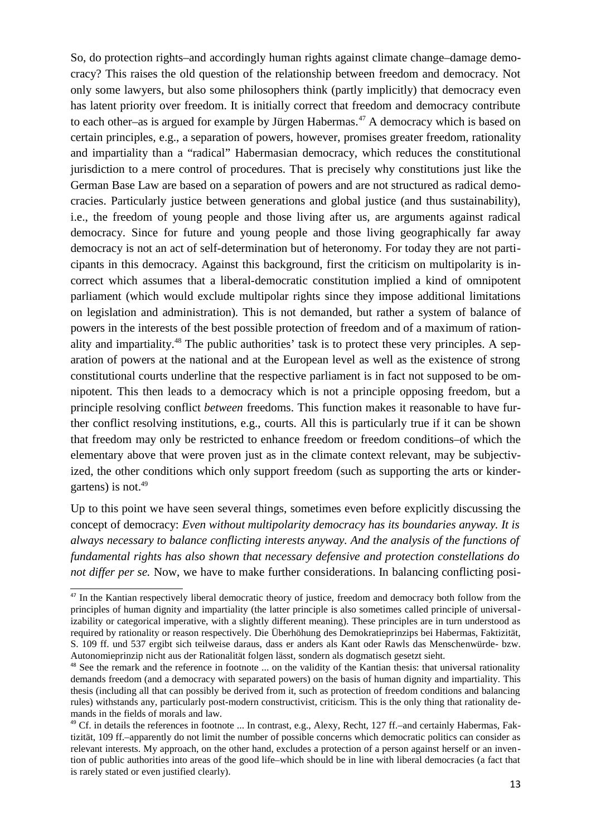So, do protection rights–and accordingly human rights against climate change–damage democracy? This raises the old question of the relationship between freedom and democracy. Not only some lawyers, but also some philosophers think (partly implicitly) that democracy even has latent priority over freedom. It is initially correct that freedom and democracy contribute to each other–as is argued for example by Jürgen Habermas.<sup>47</sup> A democracy which is based on certain principles, e.g., a separation of powers, however, promises greater freedom, rationality and impartiality than a "radical" Habermasian democracy, which reduces the constitutional jurisdiction to a mere control of procedures. That is precisely why constitutions just like the German Base Law are based on a separation of powers and are not structured as radical democracies. Particularly justice between generations and global justice (and thus sustainability), i.e., the freedom of young people and those living after us, are arguments against radical democracy. Since for future and young people and those living geographically far away democracy is not an act of self-determination but of heteronomy. For today they are not participants in this democracy. Against this background, first the criticism on multipolarity is incorrect which assumes that a liberal-democratic constitution implied a kind of omnipotent parliament (which would exclude multipolar rights since they impose additional limitations on legislation and administration). This is not demanded, but rather a system of balance of powers in the interests of the best possible protection of freedom and of a maximum of rationality and impartiality.48 The public authorities' task is to protect these very principles. A separation of powers at the national and at the European level as well as the existence of strong constitutional courts underline that the respective parliament is in fact not supposed to be omnipotent. This then leads to a democracy which is not a principle opposing freedom, but a principle resolving conflict *between* freedoms. This function makes it reasonable to have further conflict resolving institutions, e.g., courts. All this is particularly true if it can be shown that freedom may only be restricted to enhance freedom or freedom conditions–of which the elementary above that were proven just as in the climate context relevant, may be subjectivized, the other conditions which only support freedom (such as supporting the arts or kindergartens) is not. $49$ 

Up to this point we have seen several things, sometimes even before explicitly discussing the concept of democracy: *Even without multipolarity democracy has its boundaries anyway. It is always necessary to balance conflicting interests anyway. And the analysis of the functions of fundamental rights has also shown that necessary defensive and protection constellations do not differ per se.* Now, we have to make further considerations. In balancing conflicting posi-

<sup>&</sup>lt;sup>47</sup> In the Kantian respectively liberal democratic theory of justice, freedom and democracy both follow from the principles of human dignity and impartiality (the latter principle is also sometimes called principle of universalizability or categorical imperative, with a slightly different meaning). These principles are in turn understood as required by rationality or reason respectively. Die Überhöhung des Demokratieprinzips bei Habermas, Faktizität, S. 109 ff. und 537 ergibt sich teilweise daraus, dass er anders als Kant oder Rawls das Menschenwürde- bzw. Autonomieprinzip nicht aus der Rationalität folgen lässt, sondern als dogmatisch gesetzt sieht.

<sup>&</sup>lt;sup>48</sup> See the remark and the reference in footnote ... on the validity of the Kantian thesis: that universal rationality demands freedom (and a democracy with separated powers) on the basis of human dignity and impartiality. This thesis (including all that can possibly be derived from it, such as protection of freedom conditions and balancing rules) withstands any, particularly post-modern constructivist, criticism. This is the only thing that rationality demands in the fields of morals and law.

<sup>&</sup>lt;sup>49</sup> Cf. in details the references in footnote ... In contrast, e.g., Alexy, Recht, 127 ff.-and certainly Habermas, Faktizität, 109 ff.–apparently do not limit the number of possible concerns which democratic politics can consider as relevant interests. My approach, on the other hand, excludes a protection of a person against herself or an invention of public authorities into areas of the good life–which should be in line with liberal democracies (a fact that is rarely stated or even justified clearly).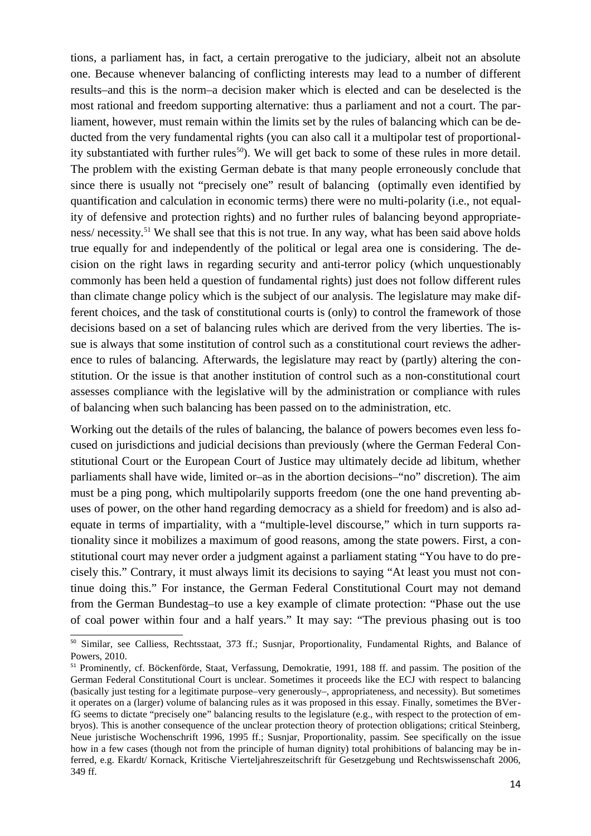tions, a parliament has, in fact, a certain prerogative to the judiciary, albeit not an absolute one. Because whenever balancing of conflicting interests may lead to a number of different results–and this is the norm–a decision maker which is elected and can be deselected is the most rational and freedom supporting alternative: thus a parliament and not a court. The parliament, however, must remain within the limits set by the rules of balancing which can be deducted from the very fundamental rights (you can also call it a multipolar test of proportionality substantiated with further rules<sup>50</sup>). We will get back to some of these rules in more detail. The problem with the existing German debate is that many people erroneously conclude that since there is usually not "precisely one" result of balancing (optimally even identified by quantification and calculation in economic terms) there were no multi-polarity (i.e., not equality of defensive and protection rights) and no further rules of balancing beyond appropriateness/ necessity.<sup>51</sup> We shall see that this is not true. In any way, what has been said above holds true equally for and independently of the political or legal area one is considering. The decision on the right laws in regarding security and anti-terror policy (which unquestionably commonly has been held a question of fundamental rights) just does not follow different rules than climate change policy which is the subject of our analysis. The legislature may make different choices, and the task of constitutional courts is (only) to control the framework of those decisions based on a set of balancing rules which are derived from the very liberties. The issue is always that some institution of control such as a constitutional court reviews the adherence to rules of balancing. Afterwards, the legislature may react by (partly) altering the constitution. Or the issue is that another institution of control such as a non-constitutional court assesses compliance with the legislative will by the administration or compliance with rules of balancing when such balancing has been passed on to the administration, etc.

Working out the details of the rules of balancing, the balance of powers becomes even less focused on jurisdictions and judicial decisions than previously (where the German Federal Constitutional Court or the European Court of Justice may ultimately decide ad libitum, whether parliaments shall have wide, limited or–as in the abortion decisions–"no" discretion). The aim must be a ping pong, which multipolarily supports freedom (one the one hand preventing abuses of power, on the other hand regarding democracy as a shield for freedom) and is also adequate in terms of impartiality, with a "multiple-level discourse," which in turn supports rationality since it mobilizes a maximum of good reasons, among the state powers. First, a constitutional court may never order a judgment against a parliament stating "You have to do precisely this." Contrary, it must always limit its decisions to saying "At least you must not continue doing this." For instance, the German Federal Constitutional Court may not demand from the German Bundestag–to use a key example of climate protection: "Phase out the use of coal power within four and a half years." It may say: "The previous phasing out is too

<sup>50</sup> Similar, see Calliess, Rechtsstaat, 373 ff.; Susnjar, Proportionality, Fundamental Rights, and Balance of Powers, 2010.

<sup>51</sup> Prominently, cf. Böckenförde, Staat, Verfassung, Demokratie, 1991, 188 ff. and passim. The position of the German Federal Constitutional Court is unclear. Sometimes it proceeds like the ECJ with respect to balancing (basically just testing for a legitimate purpose–very generously–, appropriateness, and necessity). But sometimes it operates on a (larger) volume of balancing rules as it was proposed in this essay. Finally, sometimes the BVerfG seems to dictate "precisely one" balancing results to the legislature (e.g., with respect to the protection of embryos). This is another consequence of the unclear protection theory of protection obligations; critical Steinberg, Neue juristische Wochenschrift 1996, 1995 ff.; Susnjar, Proportionality, passim. See specifically on the issue how in a few cases (though not from the principle of human dignity) total prohibitions of balancing may be inferred, e.g. Ekardt/ Kornack, Kritische Vierteljahreszeitschrift für Gesetzgebung und Rechtswissenschaft 2006, 349 ff.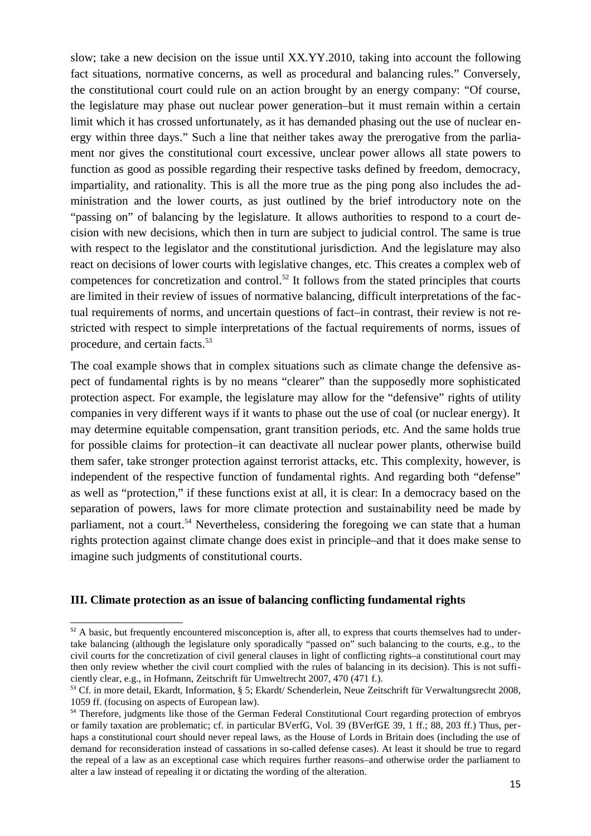slow; take a new decision on the issue until XX.YY.2010, taking into account the following fact situations, normative concerns, as well as procedural and balancing rules." Conversely, the constitutional court could rule on an action brought by an energy company: "Of course, the legislature may phase out nuclear power generation–but it must remain within a certain limit which it has crossed unfortunately, as it has demanded phasing out the use of nuclear energy within three days." Such a line that neither takes away the prerogative from the parliament nor gives the constitutional court excessive, unclear power allows all state powers to function as good as possible regarding their respective tasks defined by freedom, democracy, impartiality, and rationality. This is all the more true as the ping pong also includes the administration and the lower courts, as just outlined by the brief introductory note on the "passing on" of balancing by the legislature. It allows authorities to respond to a court decision with new decisions, which then in turn are subject to judicial control. The same is true with respect to the legislator and the constitutional jurisdiction. And the legislature may also react on decisions of lower courts with legislative changes, etc. This creates a complex web of competences for concretization and control.<sup>52</sup> It follows from the stated principles that courts are limited in their review of issues of normative balancing, difficult interpretations of the factual requirements of norms, and uncertain questions of fact–in contrast, their review is not restricted with respect to simple interpretations of the factual requirements of norms, issues of procedure, and certain facts.<sup>53</sup>

The coal example shows that in complex situations such as climate change the defensive aspect of fundamental rights is by no means "clearer" than the supposedly more sophisticated protection aspect. For example, the legislature may allow for the "defensive" rights of utility companies in very different ways if it wants to phase out the use of coal (or nuclear energy). It may determine equitable compensation, grant transition periods, etc. And the same holds true for possible claims for protection–it can deactivate all nuclear power plants, otherwise build them safer, take stronger protection against terrorist attacks, etc. This complexity, however, is independent of the respective function of fundamental rights. And regarding both "defense" as well as "protection," if these functions exist at all, it is clear: In a democracy based on the separation of powers, laws for more climate protection and sustainability need be made by parliament, not a court.<sup>54</sup> Nevertheless, considering the foregoing we can state that a human rights protection against climate change does exist in principle–and that it does make sense to imagine such judgments of constitutional courts.

#### **III. Climate protection as an issue of balancing conflicting fundamental rights**

<sup>&</sup>lt;sup>52</sup> A basic, but frequently encountered misconception is, after all, to express that courts themselves had to undertake balancing (although the legislature only sporadically "passed on" such balancing to the courts, e.g., to the civil courts for the concretization of civil general clauses in light of conflicting rights–a constitutional court may then only review whether the civil court complied with the rules of balancing in its decision). This is not sufficiently clear, e.g., in Hofmann, Zeitschrift für Umweltrecht 2007, 470 (471 f.).

<sup>&</sup>lt;sup>53</sup> Cf. in more detail, Ekardt, Information, § 5; Ekardt/ Schenderlein, Neue Zeitschrift für Verwaltungsrecht 2008, 1059 ff. (focusing on aspects of European law).

<sup>54</sup> Therefore, judgments like those of the German Federal Constitutional Court regarding protection of embryos or family taxation are problematic; cf. in particular BVerfG, Vol. 39 (BVerfGE 39, 1 ff.; 88, 203 ff.) Thus, perhaps a constitutional court should never repeal laws, as the House of Lords in Britain does (including the use of demand for reconsideration instead of cassations in so-called defense cases). At least it should be true to regard the repeal of a law as an exceptional case which requires further reasons–and otherwise order the parliament to alter a law instead of repealing it or dictating the wording of the alteration.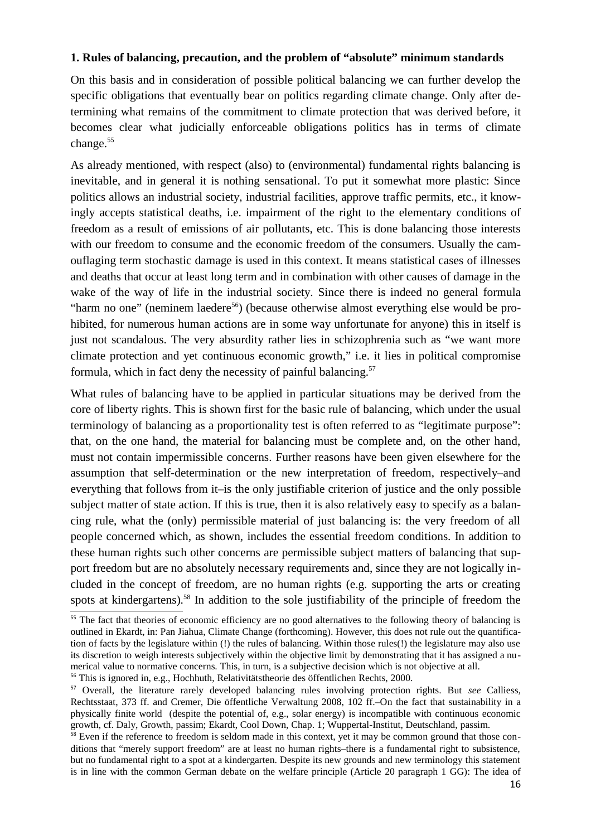### **1. Rules of balancing, precaution, and the problem of "absolute" minimum standards**

On this basis and in consideration of possible political balancing we can further develop the specific obligations that eventually bear on politics regarding climate change. Only after determining what remains of the commitment to climate protection that was derived before, it becomes clear what judicially enforceable obligations politics has in terms of climate change.<sup>55</sup>

As already mentioned, with respect (also) to (environmental) fundamental rights balancing is inevitable, and in general it is nothing sensational. To put it somewhat more plastic: Since politics allows an industrial society, industrial facilities, approve traffic permits, etc., it knowingly accepts statistical deaths, i.e. impairment of the right to the elementary conditions of freedom as a result of emissions of air pollutants, etc. This is done balancing those interests with our freedom to consume and the economic freedom of the consumers. Usually the camouflaging term stochastic damage is used in this context. It means statistical cases of illnesses and deaths that occur at least long term and in combination with other causes of damage in the wake of the way of life in the industrial society. Since there is indeed no general formula "harm no one" (neminem laedere<sup>56</sup>) (because otherwise almost everything else would be prohibited, for numerous human actions are in some way unfortunate for anyone) this in itself is just not scandalous. The very absurdity rather lies in schizophrenia such as "we want more climate protection and yet continuous economic growth," i.e. it lies in political compromise formula, which in fact deny the necessity of painful balancing. $57$ 

What rules of balancing have to be applied in particular situations may be derived from the core of liberty rights. This is shown first for the basic rule of balancing, which under the usual terminology of balancing as a proportionality test is often referred to as "legitimate purpose": that, on the one hand, the material for balancing must be complete and, on the other hand, must not contain impermissible concerns. Further reasons have been given elsewhere for the assumption that self-determination or the new interpretation of freedom, respectively–and everything that follows from it–is the only justifiable criterion of justice and the only possible subject matter of state action. If this is true, then it is also relatively easy to specify as a balancing rule, what the (only) permissible material of just balancing is: the very freedom of all people concerned which, as shown, includes the essential freedom conditions. In addition to these human rights such other concerns are permissible subject matters of balancing that support freedom but are no absolutely necessary requirements and, since they are not logically included in the concept of freedom, are no human rights (e.g. supporting the arts or creating spots at kindergartens).<sup>58</sup> In addition to the sole justifiability of the principle of freedom the

<sup>&</sup>lt;sup>55</sup> The fact that theories of economic efficiency are no good alternatives to the following theory of balancing is outlined in Ekardt, in: Pan Jiahua, Climate Change (forthcoming). However, this does not rule out the quantification of facts by the legislature within (!) the rules of balancing. Within those rules(!) the legislature may also use its discretion to weigh interests subjectively within the objective limit by demonstrating that it has assigned a numerical value to normative concerns. This, in turn, is a subjective decision which is not objective at all. <sup>56</sup> This is ignored in, e.g., Hochhuth, Relativitätstheorie des öffentlichen Rechts, 2000.

<sup>57</sup> Overall, the literature rarely developed balancing rules involving protection rights. But *see* Calliess, Rechtsstaat, 373 ff. and Cremer, Die öffentliche Verwaltung 2008, 102 ff.–On the fact that sustainability in a physically finite world (despite the potential of, e.g., solar energy) is incompatible with continuous economic growth, cf. Daly, Growth, passim; Ekardt, Cool Down, Chap. 1; Wuppertal-Institut, Deutschland, passim.

 $58$  Even if the reference to freedom is seldom made in this context, yet it may be common ground that those conditions that "merely support freedom" are at least no human rights–there is a fundamental right to subsistence, but no fundamental right to a spot at a kindergarten. Despite its new grounds and new terminology this statement is in line with the common German debate on the welfare principle (Article 20 paragraph 1 GG): The idea of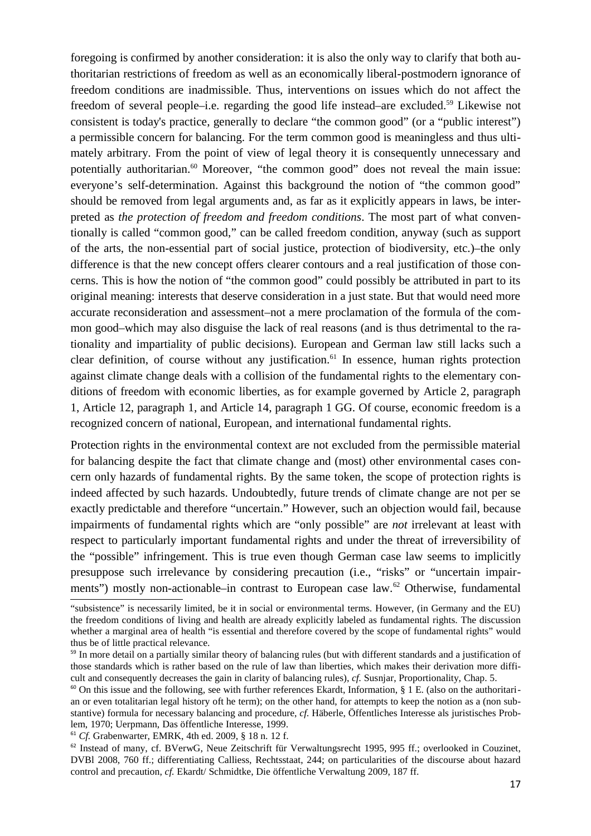foregoing is confirmed by another consideration: it is also the only way to clarify that both authoritarian restrictions of freedom as well as an economically liberal-postmodern ignorance of freedom conditions are inadmissible. Thus, interventions on issues which do not affect the freedom of several people–i.e. regarding the good life instead–are excluded.<sup>59</sup> Likewise not consistent is today's practice, generally to declare "the common good" (or a "public interest") a permissible concern for balancing. For the term common good is meaningless and thus ultimately arbitrary. From the point of view of legal theory it is consequently unnecessary and potentially authoritarian.<sup>60</sup> Moreover, "the common good" does not reveal the main issue: everyone's self-determination. Against this background the notion of "the common good" should be removed from legal arguments and, as far as it explicitly appears in laws, be interpreted as *the protection of freedom and freedom conditions*. The most part of what conventionally is called "common good," can be called freedom condition, anyway (such as support of the arts, the non-essential part of social justice, protection of biodiversity, etc.)–the only difference is that the new concept offers clearer contours and a real justification of those concerns. This is how the notion of "the common good" could possibly be attributed in part to its original meaning: interests that deserve consideration in a just state. But that would need more accurate reconsideration and assessment–not a mere proclamation of the formula of the common good–which may also disguise the lack of real reasons (and is thus detrimental to the rationality and impartiality of public decisions). European and German law still lacks such a clear definition, of course without any justification.<sup>61</sup> In essence, human rights protection against climate change deals with a collision of the fundamental rights to the elementary conditions of freedom with economic liberties, as for example governed by Article 2, paragraph 1, Article 12, paragraph 1, and Article 14, paragraph 1 GG. Of course, economic freedom is a recognized concern of national, European, and international fundamental rights.

Protection rights in the environmental context are not excluded from the permissible material for balancing despite the fact that climate change and (most) other environmental cases concern only hazards of fundamental rights. By the same token, the scope of protection rights is indeed affected by such hazards. Undoubtedly, future trends of climate change are not per se exactly predictable and therefore "uncertain." However, such an objection would fail, because impairments of fundamental rights which are "only possible" are *not* irrelevant at least with respect to particularly important fundamental rights and under the threat of irreversibility of the "possible" infringement. This is true even though German case law seems to implicitly presuppose such irrelevance by considering precaution (i.e., "risks" or "uncertain impairments") mostly non-actionable–in contrast to European case law.<sup>62</sup> Otherwise, fundamental

<sup>&</sup>quot;subsistence" is necessarily limited, be it in social or environmental terms. However, (in Germany and the EU) the freedom conditions of living and health are already explicitly labeled as fundamental rights. The discussion whether a marginal area of health "is essential and therefore covered by the scope of fundamental rights" would thus be of little practical relevance.

<sup>&</sup>lt;sup>59</sup> In more detail on a partially similar theory of balancing rules (but with different standards and a justification of those standards which is rather based on the rule of law than liberties, which makes their derivation more difficult and consequently decreases the gain in clarity of balancing rules), *cf.* Susnjar, Proportionality, Chap. 5.

 $60$  On this issue and the following, see with further references Ekardt, Information, § 1 E. (also on the authoritarian or even totalitarian legal history oft he term); on the other hand, for attempts to keep the notion as a (non substantive) formula for necessary balancing and procedure, *cf.* Häberle, Öffentliches Interesse als juristisches Problem, 1970; Uerpmann, Das öffentliche Interesse, 1999.

<sup>61</sup> *Cf.* Grabenwarter, EMRK, 4th ed. 2009, § 18 n. 12 f.

<sup>&</sup>lt;sup>62</sup> Instead of many, cf. BVerwG, Neue Zeitschrift für Verwaltungsrecht 1995, 995 ff.; overlooked in Couzinet, DVBl 2008, 760 ff.; differentiating Calliess, Rechtsstaat, 244; on particularities of the discourse about hazard control and precaution, *cf.* Ekardt/ Schmidtke, Die öffentliche Verwaltung 2009, 187 ff.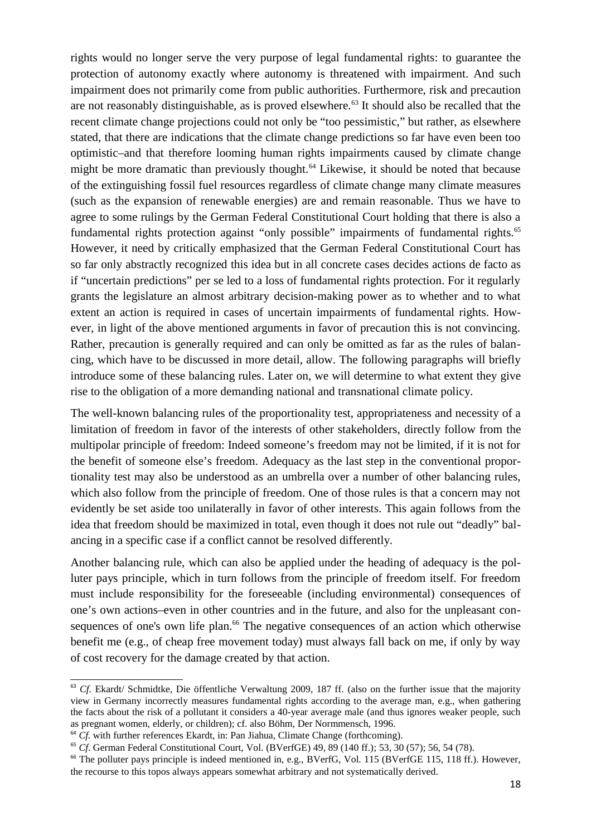rights would no longer serve the very purpose of legal fundamental rights: to guarantee the protection of autonomy exactly where autonomy is threatened with impairment. And such impairment does not primarily come from public authorities. Furthermore, risk and precaution are not reasonably distinguishable, as is proved elsewhere.<sup>63</sup> It should also be recalled that the recent climate change projections could not only be "too pessimistic," but rather, as elsewhere stated, that there are indications that the climate change predictions so far have even been too optimistic–and that therefore looming human rights impairments caused by climate change might be more dramatic than previously thought.<sup>64</sup> Likewise, it should be noted that because of the extinguishing fossil fuel resources regardless of climate change many climate measures (such as the expansion of renewable energies) are and remain reasonable. Thus we have to agree to some rulings by the German Federal Constitutional Court holding that there is also a fundamental rights protection against "only possible" impairments of fundamental rights.<sup>65</sup> However, it need by critically emphasized that the German Federal Constitutional Court has so far only abstractly recognized this idea but in all concrete cases decides actions de facto as if "uncertain predictions" per se led to a loss of fundamental rights protection. For it regularly grants the legislature an almost arbitrary decision-making power as to whether and to what extent an action is required in cases of uncertain impairments of fundamental rights. However, in light of the above mentioned arguments in favor of precaution this is not convincing. Rather, precaution is generally required and can only be omitted as far as the rules of balancing, which have to be discussed in more detail, allow. The following paragraphs will briefly introduce some of these balancing rules. Later on, we will determine to what extent they give rise to the obligation of a more demanding national and transnational climate policy.

The well-known balancing rules of the proportionality test, appropriateness and necessity of a limitation of freedom in favor of the interests of other stakeholders, directly follow from the multipolar principle of freedom: Indeed someone's freedom may not be limited, if it is not for the benefit of someone else's freedom. Adequacy as the last step in the conventional proportionality test may also be understood as an umbrella over a number of other balancing rules, which also follow from the principle of freedom. One of those rules is that a concern may not evidently be set aside too unilaterally in favor of other interests. This again follows from the idea that freedom should be maximized in total, even though it does not rule out "deadly" balancing in a specific case if a conflict cannot be resolved differently.

Another balancing rule, which can also be applied under the heading of adequacy is the polluter pays principle, which in turn follows from the principle of freedom itself. For freedom must include responsibility for the foreseeable (including environmental) consequences of one's own actions–even in other countries and in the future, and also for the unpleasant consequences of one's own life plan.<sup>66</sup> The negative consequences of an action which otherwise benefit me (e.g., of cheap free movement today) must always fall back on me, if only by way of cost recovery for the damage created by that action.

<sup>&</sup>lt;sup>63</sup> *Cf.* Ekardt/ Schmidtke, Die öffentliche Verwaltung 2009, 187 ff. (also on the further issue that the majority view in Germany incorrectly measures fundamental rights according to the average man, e.g., when gathering the facts about the risk of a pollutant it considers a 40-year average male (and thus ignores weaker people, such as pregnant women, elderly, or children); cf. also Böhm, Der Normmensch, 1996.

<sup>&</sup>lt;sup>64</sup> *Cf.* with further references Ekardt, in: Pan Jiahua, Climate Change (forthcoming).

<sup>65</sup> *Cf*. German Federal Constitutional Court, Vol. (BVerfGE) 49, 89 (140 ff.); 53, 30 (57); 56, 54 (78).

<sup>&</sup>lt;sup>66</sup> The polluter pays principle is indeed mentioned in, e.g., BVerfG, Vol. 115 (BVerfGE 115, 118 ff.). However, the recourse to this topos always appears somewhat arbitrary and not systematically derived.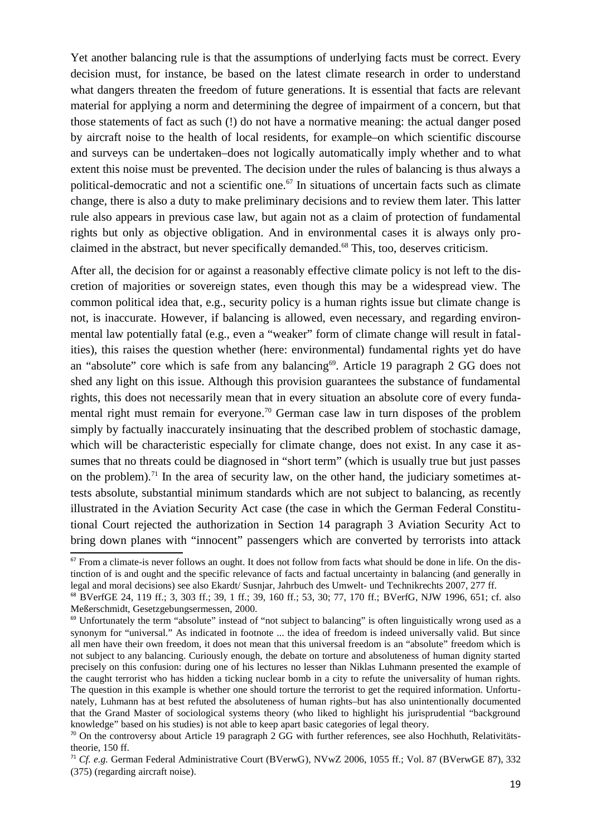Yet another balancing rule is that the assumptions of underlying facts must be correct. Every decision must, for instance, be based on the latest climate research in order to understand what dangers threaten the freedom of future generations. It is essential that facts are relevant material for applying a norm and determining the degree of impairment of a concern, but that those statements of fact as such (!) do not have a normative meaning: the actual danger posed by aircraft noise to the health of local residents, for example–on which scientific discourse and surveys can be undertaken–does not logically automatically imply whether and to what extent this noise must be prevented. The decision under the rules of balancing is thus always a political-democratic and not a scientific one.<sup>67</sup> In situations of uncertain facts such as climate change, there is also a duty to make preliminary decisions and to review them later. This latter rule also appears in previous case law, but again not as a claim of protection of fundamental rights but only as objective obligation. And in environmental cases it is always only proclaimed in the abstract, but never specifically demanded.<sup>68</sup> This, too, deserves criticism.

After all, the decision for or against a reasonably effective climate policy is not left to the discretion of majorities or sovereign states, even though this may be a widespread view. The common political idea that, e.g., security policy is a human rights issue but climate change is not, is inaccurate. However, if balancing is allowed, even necessary, and regarding environmental law potentially fatal (e.g., even a "weaker" form of climate change will result in fatalities), this raises the question whether (here: environmental) fundamental rights yet do have an "absolute" core which is safe from any balancing<sup>69</sup>. Article 19 paragraph 2 GG does not shed any light on this issue. Although this provision guarantees the substance of fundamental rights, this does not necessarily mean that in every situation an absolute core of every fundamental right must remain for everyone.<sup>70</sup> German case law in turn disposes of the problem simply by factually inaccurately insinuating that the described problem of stochastic damage, which will be characteristic especially for climate change, does not exist. In any case it assumes that no threats could be diagnosed in "short term" (which is usually true but just passes on the problem).<sup>71</sup> In the area of security law, on the other hand, the judiciary sometimes attests absolute, substantial minimum standards which are not subject to balancing, as recently illustrated in the Aviation Security Act case (the case in which the German Federal Constitutional Court rejected the authorization in Section 14 paragraph 3 Aviation Security Act to bring down planes with "innocent" passengers which are converted by terrorists into attack

<sup>&</sup>lt;sup>67</sup> From a climate-is never follows an ought. It does not follow from facts what should be done in life. On the distinction of is and ought and the specific relevance of facts and factual uncertainty in balancing (and generally in legal and moral decisions) see also Ekardt/ Susnjar, Jahrbuch des Umwelt- und Technikrechts 2007, 277 ff.

<sup>68</sup> BVerfGE 24, 119 ff.; 3, 303 ff.; 39, 1 ff.; 39, 160 ff.; 53, 30; 77, 170 ff.; BVerfG, NJW 1996, 651; cf. also Meßerschmidt, Gesetzgebungsermessen, 2000.

<sup>&</sup>lt;sup>69</sup> Unfortunately the term "absolute" instead of "not subject to balancing" is often linguistically wrong used as a synonym for "universal." As indicated in footnote ... the idea of freedom is indeed universally valid. But since all men have their own freedom, it does not mean that this universal freedom is an "absolute" freedom which is not subject to any balancing. Curiously enough, the debate on torture and absoluteness of human dignity started precisely on this confusion: during one of his lectures no lesser than Niklas Luhmann presented the example of the caught terrorist who has hidden a ticking nuclear bomb in a city to refute the universality of human rights. The question in this example is whether one should torture the terrorist to get the required information. Unfortunately, Luhmann has at best refuted the absoluteness of human rights–but has also unintentionally documented that the Grand Master of sociological systems theory (who liked to highlight his jurisprudential "background knowledge" based on his studies) is not able to keep apart basic categories of legal theory.

 $70$  On the controversy about Article 19 paragraph 2 GG with further references, see also Hochhuth, Relativitätstheorie, 150 ff.

<sup>71</sup> *Cf. e.g.* German Federal Administrative Court (BVerwG), NVwZ 2006, 1055 ff.; Vol. 87 (BVerwGE 87), 332 (375) (regarding aircraft noise).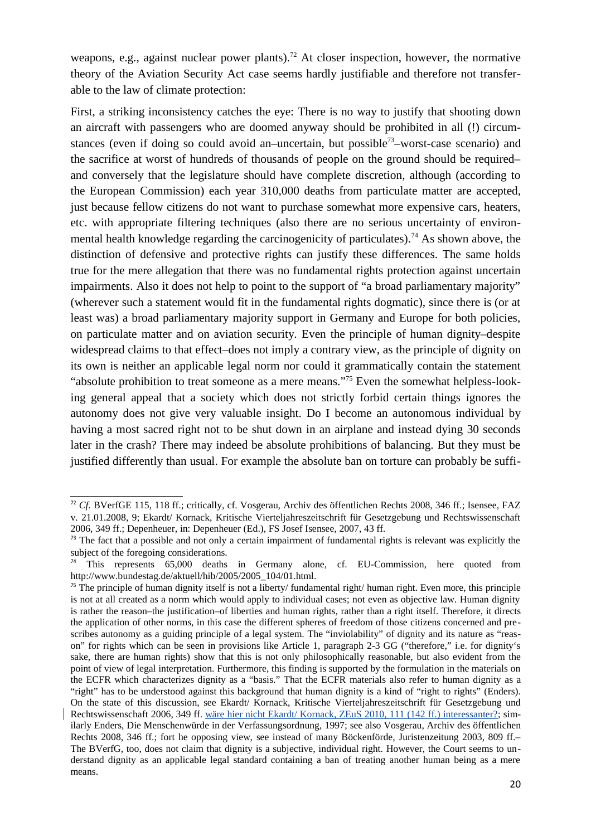weapons, e.g., against nuclear power plants).<sup>72</sup> At closer inspection, however, the normative theory of the Aviation Security Act case seems hardly justifiable and therefore not transferable to the law of climate protection:

First, a striking inconsistency catches the eye: There is no way to justify that shooting down an aircraft with passengers who are doomed anyway should be prohibited in all (!) circumstances (even if doing so could avoid an–uncertain, but possible<sup>73</sup>–worst-case scenario) and the sacrifice at worst of hundreds of thousands of people on the ground should be required– and conversely that the legislature should have complete discretion, although (according to the European Commission) each year 310,000 deaths from particulate matter are accepted, just because fellow citizens do not want to purchase somewhat more expensive cars, heaters, etc. with appropriate filtering techniques (also there are no serious uncertainty of environmental health knowledge regarding the carcinogenicity of particulates).<sup>74</sup> As shown above, the distinction of defensive and protective rights can justify these differences. The same holds true for the mere allegation that there was no fundamental rights protection against uncertain impairments. Also it does not help to point to the support of "a broad parliamentary majority" (wherever such a statement would fit in the fundamental rights dogmatic), since there is (or at least was) a broad parliamentary majority support in Germany and Europe for both policies, on particulate matter and on aviation security. Even the principle of human dignity–despite widespread claims to that effect–does not imply a contrary view, as the principle of dignity on its own is neither an applicable legal norm nor could it grammatically contain the statement "absolute prohibition to treat someone as a mere means."75 Even the somewhat helpless-looking general appeal that a society which does not strictly forbid certain things ignores the autonomy does not give very valuable insight. Do I become an autonomous individual by having a most sacred right not to be shut down in an airplane and instead dying 30 seconds later in the crash? There may indeed be absolute prohibitions of balancing. But they must be justified differently than usual. For example the absolute ban on torture can probably be suffi-

<sup>72</sup> *Cf.* BVerfGE 115, 118 ff.; critically, cf. Vosgerau, Archiv des öffentlichen Rechts 2008, 346 ff.; Isensee, FAZ v. 21.01.2008, 9; Ekardt/ Kornack, Kritische Vierteljahreszeitschrift für Gesetzgebung und Rechtswissenschaft 2006, 349 ff.; Depenheuer, in: Depenheuer (Ed.), FS Josef Isensee, 2007, 43 ff.

 $73$  The fact that a possible and not only a certain impairment of fundamental rights is relevant was explicitly the subject of the foregoing considerations.

This represents 65,000 deaths in Germany alone, cf. EU-Commission, here quoted from http://www.bundestag.de/aktuell/hib/2005/2005\_104/01.html.

 $75$  The principle of human dignity itself is not a liberty/ fundamental right/ human right. Even more, this principle is not at all created as a norm which would apply to individual cases; not even as objective law. Human dignity is rather the reason–the justification–of liberties and human rights, rather than a right itself. Therefore, it directs the application of other norms, in this case the different spheres of freedom of those citizens concerned and prescribes autonomy as a guiding principle of a legal system. The "inviolability" of dignity and its nature as "reason" for rights which can be seen in provisions like Article 1, paragraph 2-3 GG ("therefore," i.e. for dignity's sake, there are human rights) show that this is not only philosophically reasonable, but also evident from the point of view of legal interpretation. Furthermore, this finding is supported by the formulation in the materials on the ECFR which characterizes dignity as a "basis." That the ECFR materials also refer to human dignity as a "right" has to be understood against this background that human dignity is a kind of "right to rights" (Enders). On the state of this discussion, see Ekardt/ Kornack, Kritische Vierteljahreszeitschrift für Gesetzgebung und Rechtswissenschaft 2006, 349 ff. wäre hier nicht Ekardt/ Kornack, ZEuS 2010, 111 (142 ff.) interessanter?; similarly Enders, Die Menschenwürde in der Verfassungsordnung, 1997; see also Vosgerau, Archiv des öffentlichen Rechts 2008, 346 ff.; fort he opposing view, see instead of many Böckenförde, Juristenzeitung 2003, 809 ff.– The BVerfG, too, does not claim that dignity is a subjective, individual right. However, the Court seems to understand dignity as an applicable legal standard containing a ban of treating another human being as a mere means.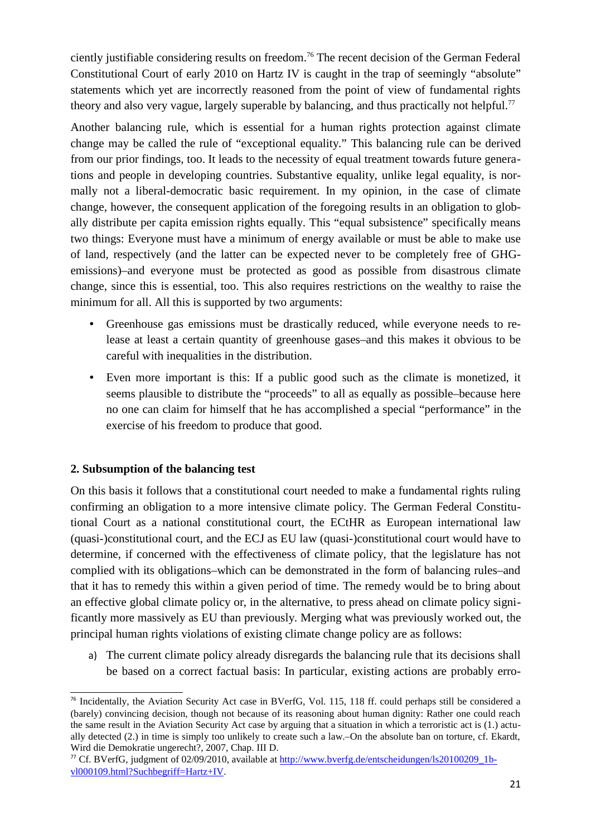ciently justifiable considering results on freedom.<sup>76</sup> The recent decision of the German Federal Constitutional Court of early 2010 on Hartz IV is caught in the trap of seemingly "absolute" statements which yet are incorrectly reasoned from the point of view of fundamental rights theory and also very vague, largely superable by balancing, and thus practically not helpful.<sup>77</sup>

Another balancing rule, which is essential for a human rights protection against climate change may be called the rule of "exceptional equality." This balancing rule can be derived from our prior findings, too. It leads to the necessity of equal treatment towards future generations and people in developing countries. Substantive equality, unlike legal equality, is normally not a liberal-democratic basic requirement. In my opinion, in the case of climate change, however, the consequent application of the foregoing results in an obligation to globally distribute per capita emission rights equally. This "equal subsistence" specifically means two things: Everyone must have a minimum of energy available or must be able to make use of land, respectively (and the latter can be expected never to be completely free of GHGemissions)–and everyone must be protected as good as possible from disastrous climate change, since this is essential, too. This also requires restrictions on the wealthy to raise the minimum for all. All this is supported by two arguments:

- Greenhouse gas emissions must be drastically reduced, while everyone needs to release at least a certain quantity of greenhouse gases–and this makes it obvious to be careful with inequalities in the distribution.
- Even more important is this: If a public good such as the climate is monetized, it seems plausible to distribute the "proceeds" to all as equally as possible–because here no one can claim for himself that he has accomplished a special "performance" in the exercise of his freedom to produce that good.

# **2. Subsumption of the balancing test**

On this basis it follows that a constitutional court needed to make a fundamental rights ruling confirming an obligation to a more intensive climate policy. The German Federal Constitutional Court as a national constitutional court, the ECtHR as European international law (quasi-)constitutional court, and the ECJ as EU law (quasi-)constitutional court would have to determine, if concerned with the effectiveness of climate policy, that the legislature has not complied with its obligations–which can be demonstrated in the form of balancing rules–and that it has to remedy this within a given period of time. The remedy would be to bring about an effective global climate policy or, in the alternative, to press ahead on climate policy significantly more massively as EU than previously. Merging what was previously worked out, the principal human rights violations of existing climate change policy are as follows:

a) The current climate policy already disregards the balancing rule that its decisions shall be based on a correct factual basis: In particular, existing actions are probably erro-

 $76$  Incidentally, the Aviation Security Act case in BVerfG, Vol. 115, 118 ff. could perhaps still be considered a (barely) convincing decision, though not because of its reasoning about human dignity: Rather one could reach the same result in the Aviation Security Act case by arguing that a situation in which a terroristic act is (1.) actually detected (2.) in time is simply too unlikely to create such a law.–On the absolute ban on torture, cf. Ekardt, Wird die Demokratie ungerecht?, 2007, Chap. III D.

<sup>&</sup>lt;sup>77</sup> Cf. BVerfG, judgment of 02/09/2010, available at http://www.bverfg.de/entscheidungen/ls20100209\_1bvl000109.html?Suchbegriff=Hartz+IV.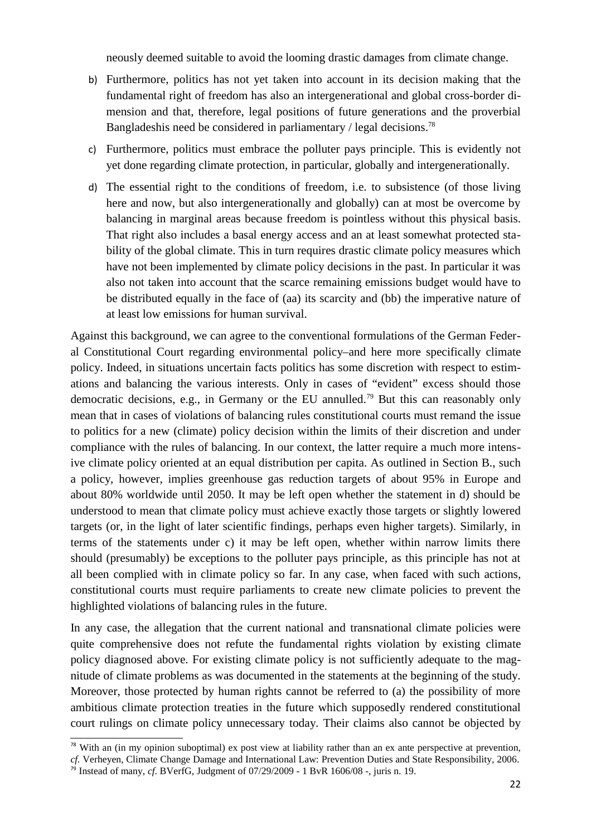neously deemed suitable to avoid the looming drastic damages from climate change.

- b) Furthermore, politics has not yet taken into account in its decision making that the fundamental right of freedom has also an intergenerational and global cross-border dimension and that, therefore, legal positions of future generations and the proverbial Bangladeshis need be considered in parliamentary / legal decisions.<sup>78</sup>
- c) Furthermore, politics must embrace the polluter pays principle. This is evidently not yet done regarding climate protection, in particular, globally and intergenerationally.
- d) The essential right to the conditions of freedom, i.e. to subsistence (of those living here and now, but also intergenerationally and globally) can at most be overcome by balancing in marginal areas because freedom is pointless without this physical basis. That right also includes a basal energy access and an at least somewhat protected stability of the global climate. This in turn requires drastic climate policy measures which have not been implemented by climate policy decisions in the past. In particular it was also not taken into account that the scarce remaining emissions budget would have to be distributed equally in the face of (aa) its scarcity and (bb) the imperative nature of at least low emissions for human survival.

Against this background, we can agree to the conventional formulations of the German Federal Constitutional Court regarding environmental policy–and here more specifically climate policy. Indeed, in situations uncertain facts politics has some discretion with respect to estimations and balancing the various interests. Only in cases of "evident" excess should those democratic decisions, e.g., in Germany or the EU annulled.<sup>79</sup> But this can reasonably only mean that in cases of violations of balancing rules constitutional courts must remand the issue to politics for a new (climate) policy decision within the limits of their discretion and under compliance with the rules of balancing. In our context, the latter require a much more intensive climate policy oriented at an equal distribution per capita. As outlined in Section B., such a policy, however, implies greenhouse gas reduction targets of about 95% in Europe and about 80% worldwide until 2050. It may be left open whether the statement in d) should be understood to mean that climate policy must achieve exactly those targets or slightly lowered targets (or, in the light of later scientific findings, perhaps even higher targets). Similarly, in terms of the statements under c) it may be left open, whether within narrow limits there should (presumably) be exceptions to the polluter pays principle, as this principle has not at all been complied with in climate policy so far. In any case, when faced with such actions, constitutional courts must require parliaments to create new climate policies to prevent the highlighted violations of balancing rules in the future.

In any case, the allegation that the current national and transnational climate policies were quite comprehensive does not refute the fundamental rights violation by existing climate policy diagnosed above. For existing climate policy is not sufficiently adequate to the magnitude of climate problems as was documented in the statements at the beginning of the study. Moreover, those protected by human rights cannot be referred to (a) the possibility of more ambitious climate protection treaties in the future which supposedly rendered constitutional court rulings on climate policy unnecessary today. Their claims also cannot be objected by

<sup>&</sup>lt;sup>78</sup> With an (in my opinion suboptimal) ex post view at liability rather than an ex ante perspective at prevention, *cf.* Verheyen, Climate Change Damage and International Law: Prevention Duties and State Responsibility, 2006.

<sup>79</sup> Instead of many, *cf.* BVerfG, Judgment of 07/29/2009 - 1 BvR 1606/08 -, juris n. 19.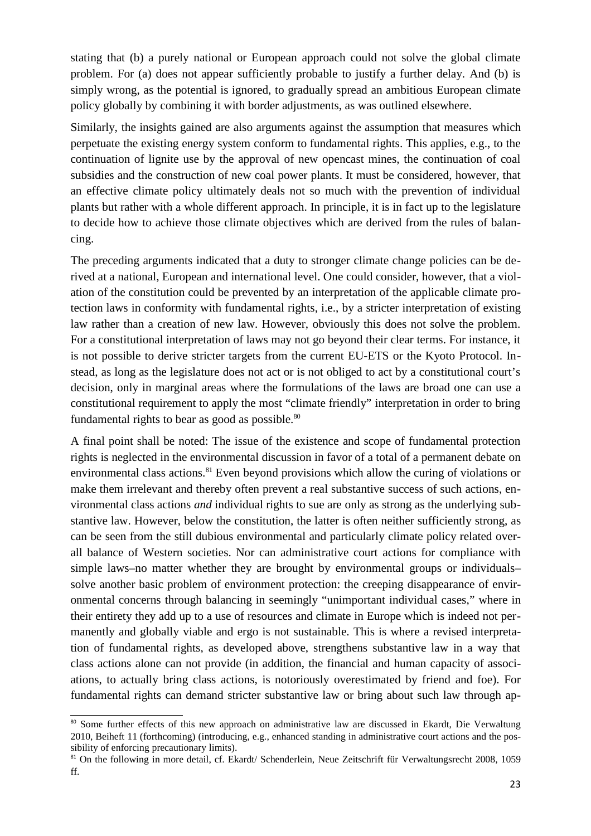stating that (b) a purely national or European approach could not solve the global climate problem. For (a) does not appear sufficiently probable to justify a further delay. And (b) is simply wrong, as the potential is ignored, to gradually spread an ambitious European climate policy globally by combining it with border adjustments, as was outlined elsewhere.

Similarly, the insights gained are also arguments against the assumption that measures which perpetuate the existing energy system conform to fundamental rights. This applies, e.g., to the continuation of lignite use by the approval of new opencast mines, the continuation of coal subsidies and the construction of new coal power plants. It must be considered, however, that an effective climate policy ultimately deals not so much with the prevention of individual plants but rather with a whole different approach. In principle, it is in fact up to the legislature to decide how to achieve those climate objectives which are derived from the rules of balancing.

The preceding arguments indicated that a duty to stronger climate change policies can be derived at a national, European and international level. One could consider, however, that a violation of the constitution could be prevented by an interpretation of the applicable climate protection laws in conformity with fundamental rights, i.e., by a stricter interpretation of existing law rather than a creation of new law. However, obviously this does not solve the problem. For a constitutional interpretation of laws may not go beyond their clear terms. For instance, it is not possible to derive stricter targets from the current EU-ETS or the Kyoto Protocol. Instead, as long as the legislature does not act or is not obliged to act by a constitutional court's decision, only in marginal areas where the formulations of the laws are broad one can use a constitutional requirement to apply the most "climate friendly" interpretation in order to bring fundamental rights to bear as good as possible. $80$ 

A final point shall be noted: The issue of the existence and scope of fundamental protection rights is neglected in the environmental discussion in favor of a total of a permanent debate on environmental class actions.<sup>81</sup> Even beyond provisions which allow the curing of violations or make them irrelevant and thereby often prevent a real substantive success of such actions, environmental class actions *and* individual rights to sue are only as strong as the underlying substantive law. However, below the constitution, the latter is often neither sufficiently strong, as can be seen from the still dubious environmental and particularly climate policy related overall balance of Western societies. Nor can administrative court actions for compliance with simple laws–no matter whether they are brought by environmental groups or individuals– solve another basic problem of environment protection: the creeping disappearance of environmental concerns through balancing in seemingly "unimportant individual cases," where in their entirety they add up to a use of resources and climate in Europe which is indeed not permanently and globally viable and ergo is not sustainable. This is where a revised interpretation of fundamental rights, as developed above, strengthens substantive law in a way that class actions alone can not provide (in addition, the financial and human capacity of associations, to actually bring class actions, is notoriously overestimated by friend and foe). For fundamental rights can demand stricter substantive law or bring about such law through ap-

<sup>80</sup> Some further effects of this new approach on administrative law are discussed in Ekardt, Die Verwaltung 2010, Beiheft 11 (forthcoming) (introducing, e.g., enhanced standing in administrative court actions and the possibility of enforcing precautionary limits).

<sup>&</sup>lt;sup>81</sup> On the following in more detail, cf. Ekardt/ Schenderlein, Neue Zeitschrift für Verwaltungsrecht 2008, 1059 ff.